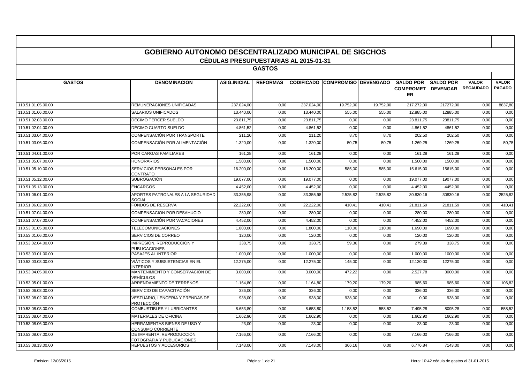|                    | <b>GOBIERNO AUTONOMO DESCENTRALIZADO MUNICIPAL DE SIGCHOS</b> | <b>CEDULAS PRESUPUESTARIAS AL 2015-01-31</b> |                 |            |                                 |           |                                                       |                  |                                  |                               |
|--------------------|---------------------------------------------------------------|----------------------------------------------|-----------------|------------|---------------------------------|-----------|-------------------------------------------------------|------------------|----------------------------------|-------------------------------|
|                    |                                                               |                                              | <b>GASTOS</b>   |            |                                 |           |                                                       |                  |                                  |                               |
|                    |                                                               |                                              |                 |            |                                 |           |                                                       |                  |                                  |                               |
| <b>GASTOS</b>      | <b>DENOMINACION</b>                                           | <b>ASIG.INICIAL</b>                          | <b>REFORMAS</b> |            | CODIFICADO COMPROMISO DEVENGADO |           | <b>SALDO POR</b><br><b>COMPROMET   DEVENGAR</b><br>ER | <b>SALDO POR</b> | <b>VALOR</b><br><b>RECAUDADO</b> | <b>VALOR</b><br><b>PAGADO</b> |
| 110.51.01.05.00.00 | REMUNERACIONES UNIFICADAS                                     | 237.024.00                                   | 0,00            | 237.024,00 | 19.752,00                       | 19.752,00 | 217.272,00                                            | 217272,00        | 0,00                             | 8837,80                       |
| 110.51.01.06.00.00 | SALARIOS UNIFICADOS                                           | 13.440,00                                    | 0,00            | 13.440,00  | 555,00                          | 555,00    | 12.885,00                                             | 12885,00         | 0,00                             | 0,00                          |
| 110.51.02.03.00.00 | DÉCIMO TERCER SUELDO                                          | 23.811.75                                    | 0,00            | 23.811,75  | 0,00                            | 0,00      | 23.811,75                                             | 23811.75         | 0,00                             | 0,00                          |
| 110.51.02.04.00.00 | DÉCIMO CUARTO SUELDO                                          | 4.861,5                                      | 0,00            | 4.861,52   | 0,00                            | 0,00      | 4.861,52                                              | 4861,52          | 0,00                             | 0,00                          |
| 110.51.03.04.00.00 | COMPENSACIÓN POR TRANSPORTE                                   | 211,20                                       | 0,00            | 211,20     | 8,70                            | 8,70      | 202,50                                                | 202,50           | 0,00                             | 0,00                          |
| 110.51.03.06.00.00 | COMPENSACIÓN POR ALIMENTACIÓN                                 | 1.320,00                                     | 0.00            | 1.320,00   | 50,75                           | 50,75     | 1.269.25                                              | 1269.25          | 0,00                             | 50.75                         |
| 110.51.04.01.00.00 | POR CARGAS FAMILIARES                                         | 161,28                                       | 0,00            | 161,28     | 0,00                            | 0,00      | 161,28                                                | 161,28           | 0,00                             | 0,00                          |
| 110.51.05.07.00.00 | <b>HONORARIOS</b>                                             | 1.500,0                                      | 0,00            | 1.500,00   | 0,00                            | 0,00      | 1.500,00                                              | 1500,00          | 0,00                             | 0,00                          |
| 110.51.05.10.00.00 | SERVICIOS PERSONALES POR<br>CONTRATO                          | 16.200,00                                    | 0,00            | 16.200,00  | 585,00                          | 585,00    | 15.615,00                                             | 15615,00         | 0,00                             | 0,00                          |
| 110.51.05.12.00.00 | <b>SUBROGACIÓN</b>                                            | 19.077.00                                    | 0,00            | 19.077.00  | 0,00                            | 0,00      | 19.077,00                                             | 19077.00         | 0,00                             | 0,00                          |
| 110.51.05.13.00.00 | <b>ENCARGOS</b>                                               | 4.452.00                                     | 0,00            | 4.452,00   | 0,00                            | 0,00      | 4.452.00                                              | 4452.00          | 0,00                             | 0.00                          |
| 110.51.06.01.00.00 | APORTES PATRONALES A LA SEGURIDAD<br>SOCIAL                   | 33.355,98                                    | 0,00            | 33.355,98  | 2.525,82                        | 2.525,82  | 30.830,16                                             | 30830,16         | 0,00                             | 2525,82                       |
| 110.51.06.02.00.00 | FONDOS DE RESERVA                                             | 22.222.00                                    | 0,00            | 22.222,00  | 410,4'                          | 410,4'    | 21.811,59                                             | 21811,59         | 0,00                             | 410,41                        |
| 110.51.07.04.00.00 | <b>COMPENSACION POR DESAHUCIO</b>                             | 280.00                                       | 0,00            | 280.00     | 0,00                            | 0,00      | 280.00                                                | 280.00           | 0,00                             | 0,00                          |
| 110.51.07.07.00.00 | COMPENSACIÓN POR VACACIONES                                   | 4.452,00                                     | 0,00            | 4.452,00   | 0,00                            | 0,00      | 4.452,00                                              | 4452,00          | 0,00                             | 0,00                          |
| 110.53.01.05.00.00 | <b>TELECOMUNICACIONES</b>                                     | 1.800,00                                     | 0,00            | 1.800,00   | 110,00                          | 110,00    | 1.690,00                                              | 1690,00          | 0,00                             | 0,00                          |
| 110.53.01.06.00.00 | SERVICIOS DE CORREO                                           | 120,00                                       | 0,00            | 120,00     | 0,00                            | 0,00      | 120,00                                                | 120,00           | 0,00                             | 0,00                          |
| 110.53.02.04.00.00 | IMPRESIÓN, REPRODUCCIÓN Y<br><b>PUBLICACIONES</b>             | 338,75                                       | 0.00            | 338,75     | 59,36                           | 0,00      | 279,39                                                | 338,75           | 0,00                             | 0,00                          |
| 110.53.03.01.00.00 | PASAJES AL INTERIOR                                           | 1.000,00                                     | 0,00            | 1.000,00   | 0,00                            | 0,00      | 1.000,00                                              | 1000,00          | 0,00                             | 0,00                          |
| 110.53.03.03.00.00 | VIÁTICOS Y SUBSISTENCIAS EN EL<br><b>INTERIOR</b>             | 12.275,00                                    | 0,00            | 12.275,00  | 145,00                          | 0,00      | 12.130,00                                             | 12275,00         | 0,00                             | 0,00                          |
| 110.53.04.05.00.00 | MANTENIMIENTO Y CONSERVACIÓN DE<br>VEHÍCULOS                  | 3.000.00                                     | 0.00            | 3.000,00   | 472,22                          | 0,00      | 2.527,78                                              | 3000,00          | 0,00                             | 0.00                          |
| 110.53.05.01.00.00 | ARRENDAMIENTO DE TERRENOS                                     | 1.164,80                                     | 0,00            | 1.164,80   | 179,20                          | 179,20    | 985,60                                                | 985,60           | 0,00                             | 106,82                        |
| 110.53.06.03.00.00 | SERVICIO DE CAPACITACIÓN                                      | 336,00                                       | 0,00            | 336,00     | 0,00                            | 0,00      | 336,00                                                | 336,00           | 0,00                             | 0,00                          |
| 110.53.08.02.00.00 | VESTUARIO. LENCERÍA Y PRENDAS DE<br>PROTECCIÓN                | 938,00                                       | 0,00            | 938,00     | 938,00                          | 0,00      | 0,00                                                  | 938,00           | 0,00                             | 0,00                          |
| 110.53.08.03.00.00 | <b>COMBUSTIBLES Y LUBRICANTES</b>                             | 8.653.80                                     | 0,00            | 8.653,80   | 1.158,52                        | 558,52    | 7.495,28                                              | 8095,28          | 0,00                             | 558,52                        |
| 110.53.08.04.00.00 | <b>MATERIALES DE OFICINA</b>                                  | 1.662,90                                     | 0,00            | 1.662,90   | 0,00                            | 0,00      | 1.662,90                                              | 1662,90          | 0,00                             | 0,00                          |
| 110.53.08.06.00.00 | HERRAMIENTAS BIENES DE USO Y<br>CONSUMO CORRIENTE             | 23,00                                        | 0,00            | 23,00      | 0,00                            | 0,00      | 23,00                                                 | 23,00            | 0,00                             | 0,00                          |
| 110.53.08.07.00.00 | DE IMPRENTA, REPRODUCCIÓN,<br>FOTOGRAFIA Y PUBLICACIONES      | 7.166,00                                     | 0,00            | 7.166,00   | 0,00                            | 0,00      | 7.166,00                                              | 7166,00          | 0,00                             | 0,00                          |
| 110.53.08.13.00.00 | REPUESTOS Y ACCESORIOS                                        | 7.143,00                                     | 0.00            | 7.143,00   | 366,16                          | 0,00      | 6.776,84                                              | 7143,00          | 0,00                             | 0.00                          |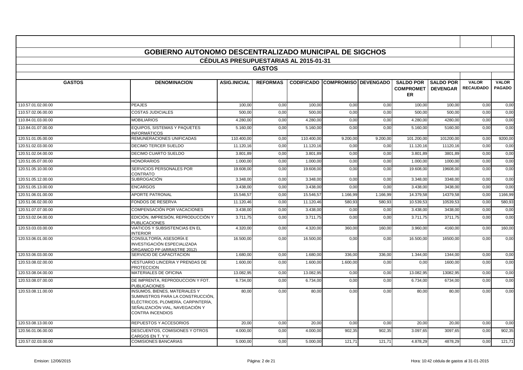|                    | <b>GOBIERNO AUTONOMO DESCENTRALIZADO MUNICIPAL DE SIGCHOS</b>                                                                                                                 |                                       |                 |            |                                        |          |                                                        |                  |                                  |                               |
|--------------------|-------------------------------------------------------------------------------------------------------------------------------------------------------------------------------|---------------------------------------|-----------------|------------|----------------------------------------|----------|--------------------------------------------------------|------------------|----------------------------------|-------------------------------|
|                    |                                                                                                                                                                               | CÉDULAS PRESUPUESTARIAS AL 2015-01-31 |                 |            |                                        |          |                                                        |                  |                                  |                               |
|                    |                                                                                                                                                                               |                                       | <b>GASTOS</b>   |            |                                        |          |                                                        |                  |                                  |                               |
|                    |                                                                                                                                                                               |                                       |                 |            |                                        |          |                                                        |                  |                                  |                               |
| <b>GASTOS</b>      | <b>DENOMINACION</b>                                                                                                                                                           | <b>ASIG.INICIAL</b>                   | <b>REFORMAS</b> |            | <b>CODIFICADO COMPROMISO DEVENGADO</b> |          | <b>SALDO POR</b><br><b>COMPROMET   DEVENGAR</b><br>ER. | <b>SALDO POR</b> | <b>VALOR</b><br><b>RECAUDADO</b> | <b>VALOR</b><br><b>PAGADO</b> |
| 110.57.01.02.00.00 | PEAJES                                                                                                                                                                        | 100.00                                | 0.00            | 100,00     | 0,00                                   | 0.00     | 100.00                                                 | 100.00           | 0,00                             | 0,00                          |
| 110.57.02.06.00.00 | <b>COSTAS JUDICIALES</b>                                                                                                                                                      | 500.00                                | 0,00            | 500.00     | 0,00                                   | 0,00     | 500,00                                                 | 500.00           | 0,00                             | 0,00                          |
| 110.84.01.03.00.00 | <b>MOBILIARIOS</b>                                                                                                                                                            | 4.280.00                              | 0,00            | 4.280.00   | 0,00                                   | 0,00     | 4.280,00                                               | 4280.00          | 0,00                             | 0,00                          |
| 110.84.01.07.00.00 | <b>EQUIPOS, SISTEMAS Y PAQUETES</b><br>INFORMÁTICOS                                                                                                                           | 5.160,00                              | 0,00            | 5.160,00   | 0,00                                   | 0.00     | 5.160,00                                               | 5160,00          | 0,00                             | 0,00                          |
| 120.51.01.05.00.00 | REMUNERACIONES UNIFICADAS                                                                                                                                                     | 110.400,00                            | 0,00            | 110.400,00 | 9.200,00                               | 9.200,00 | 101.200,00                                             | 101200,00        | 0,00                             | 9200,00                       |
| 120.51.02.03.00.00 | <b>DECIMO TERCER SUELDO</b>                                                                                                                                                   | 11.120,16                             | 0,00            | 11.120,16  | 0,00                                   | 0,00     | 11.120,16                                              | 11120,16         | 0,00                             | 0,00                          |
| 120.51.02.04.00.00 | DECIMO CUARTO SUELDO                                                                                                                                                          | 3.801,89                              | 0,00            | 3.801,89   | 0,00                                   | 0,00     | 3.801,89                                               | 3801,89          | 0,00                             | 0,00                          |
| 120.51.05.07.00.00 | <b>HONORARIOS</b>                                                                                                                                                             | 1.000,00                              | 0,00            | 1.000,00   | 0,00                                   | 0,00     | 1.000,00                                               | 1000,00          | 0,00                             | 0,00                          |
| 120.51.05.10.00.00 | SERVICIOS PERSONALES POR<br>CONTRATO                                                                                                                                          | 19.608,00                             | 0,00            | 19.608,00  | 0,00                                   | 0,00     | 19.608,00                                              | 19608,00         | 0,00                             | 0,00                          |
| 120.51.05.12.00.00 | SUBROGACIÓN                                                                                                                                                                   | 3.348,00                              | 0,00            | 3.348,00   | 0,00                                   | 0,00     | 3.348,00                                               | 3348,00          | 0,00                             | 0,00                          |
| 120.51.05.13.00.00 | <b>ENCARGOS</b>                                                                                                                                                               | 3.438.00                              | 0,00            | 3.438.00   | 0,00                                   | 0,00     | 3.438,00                                               | 3438,00          | 0,00                             | 0,00                          |
| 120.51.06.01.00.00 | <b>APORTE PATRONAL</b>                                                                                                                                                        | 15.546,57                             | 0,00            | 15.546,57  | 1.166,99                               | 1.166,99 | 14.379,58                                              | 14379,58         | 0,00                             | 1166,99                       |
| 120.51.06.02.00.00 | <b>FONDOS DE RESERVA</b>                                                                                                                                                      | 11.120,46                             | 0,00            | 11.120,46  | 580,93                                 | 580,93   | 10.539,53                                              | 10539,53         | 0,00                             | 580,93                        |
| 120.51.07.07.00.00 | COMPENSACIÓN POR VACACIONES                                                                                                                                                   | 3.438,00                              | 0,00            | 3.438,00   | 0,00                                   | 0,00     | 3.438,00                                               | 3438,00          | 0,00                             | 0,00                          |
| 120.53.02.04.00.00 | EDICIÓN, IMPRESIÓN, REPRODUCCIÓN Y<br><b>PUBLICACIONES</b>                                                                                                                    | 3.711,75                              | 0,00            | 3.711,75   | 0,00                                   | 0,00     | 3.711,75                                               | 3711,75          | 0,00                             | 0,00                          |
| 120.53.03.03.00.00 | VIATICOS Y SUBSISTENCIAS EN EL<br><b>INTERIOR</b>                                                                                                                             | 4.320.00                              | 0,00            | 4.320.00   | 360,00                                 | 160.00   | 3.960.00                                               | 4160.00          | 0,00                             | 160,00                        |
| 120.53.06.01.00.00 | CONSULTORÍA, ASESORÍA E<br>INVESTIGACIÓN ESPECIALIZADA<br>ORGANICO PP (ARRASTRE 2012)                                                                                         | 16.500,00                             | 0,00            | 16.500,00  | 0,00                                   | 0,00     | 16.500,00                                              | 16500,00         | 0,00                             | 0,00                          |
| 120.53.06.03.00.00 | SERVICIO DE CAPACITACION                                                                                                                                                      | 1.680,00                              | 0,00            | 1.680,00   | 336,00                                 | 336,00   | 1.344,00                                               | 1344,00          | 0,00                             | 0,00                          |
| 120.53.08.02.00.00 | <b>VESTUARIO LINCERIA Y PRENDAS DE</b><br><b>PROTECCION</b>                                                                                                                   | 1.600,00                              | 0,00            | 1.600,00   | 1.600,00                               | 0,00     | 0,00                                                   | 1600.00          | 0,00                             | 0,00                          |
| 120.53.08.04.00.00 | <b>MATERIALES DE OFICINA</b>                                                                                                                                                  | 13.082,95                             | 0,00            | 13.082,95  | 0,00                                   | 0,00     | 13.082,95                                              | 13082,95         | 0,00                             | 0,00                          |
| 120.53.08.07.00.00 | DE IMPRENTA, REPRODUCCION Y FOT.<br><b>PUBLICACIONES</b>                                                                                                                      | 6.734.00                              | 0.00            | 6.734.00   | 0.00                                   | 0.00     | 6.734.00                                               | 6734.00          | 0,00                             | 0.00                          |
| 120.53.08.11.00.00 | <b>INSUMOS, BIENES, MATERIALES Y</b><br>SUMINISTROS PARA LA CONSTRUCCIÓN,<br>ELÉCTRICOS, PLOMERÍA, CARPINTERÍA,<br>SEÑALIZACIÓN VIAL, NAVEGACIÓN Y<br><b>CONTRA INCENDIOS</b> | 80,00                                 | 0,00            | 80,00      | 0,00                                   | 0,00     | 80,00                                                  | 80,00            | 0,00                             | 0,00                          |
| 120.53.08.13.00.00 | REPUESTOS Y ACCESORIOS                                                                                                                                                        | 20,00                                 | 0,00            | 20.00      | 0,00                                   | 0,00     | 20.00                                                  | 20,00            | 0,00                             | 0,00                          |
| 120.56.01.06.00.00 | DESCUENTOS, COMISIONES Y OTROS<br>CARGOS EN T. Y V.                                                                                                                           | 4.000.00                              | 0.00            | 4.000.00   | 902.35                                 | 902.35   | 3.097.65                                               | 3097.65          | 0.00                             | 902.35                        |
| 120.57.02.03.00.00 | <b>COMISIONES BANCARIAS</b>                                                                                                                                                   | 5.000,00                              | 0,00            | 5.000,00   | 121,71                                 | 121,71   | 4.878,29                                               | 4878,29          | 0,00                             | 121,71                        |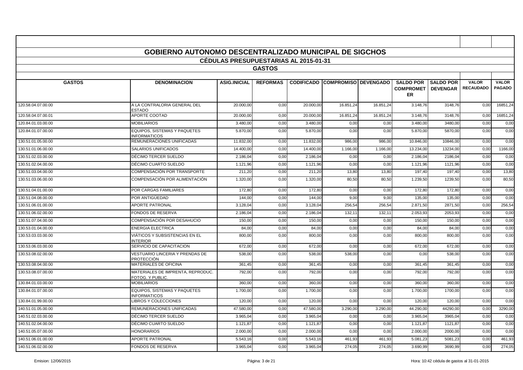|                    | <b>GOBIERNO AUTONOMO DESCENTRALIZADO MUNICIPAL DE SIGCHOS</b> |                                              |                 |           |                                        |           |                                                              |                  |                                  |                               |
|--------------------|---------------------------------------------------------------|----------------------------------------------|-----------------|-----------|----------------------------------------|-----------|--------------------------------------------------------------|------------------|----------------------------------|-------------------------------|
|                    |                                                               | <b>CEDULAS PRESUPUESTARIAS AL 2015-01-31</b> |                 |           |                                        |           |                                                              |                  |                                  |                               |
|                    |                                                               |                                              | <b>GASTOS</b>   |           |                                        |           |                                                              |                  |                                  |                               |
| <b>GASTOS</b>      | <b>DENOMINACION</b>                                           | <b>ASIG.INICIAL</b>                          | <b>REFORMAS</b> |           | <b>CODIFICADO COMPROMISO DEVENGADO</b> |           | <b>SALDO POR</b><br><b>COMPROMET   DEVENGAR</b><br><b>ER</b> | <b>SALDO POR</b> | <b>VALOR</b><br><b>RECAUDADO</b> | <b>VALOR</b><br><b>PAGADO</b> |
| 120.58.04.07.00.00 | A LA CONTRALORIA GENERAL DEL<br><b>ESTADO</b>                 | 20.000,00                                    | 0,00            | 20.000,00 | 16.851,24                              | 16.851,24 | 3.148,76                                                     | 3148,76          | 0,00                             | 16851,24                      |
| 120.58.04.07.00.01 | <b>APORTE COOTAD</b>                                          | 20.000.00                                    | 0.00            | 20,000.00 | 16.851.24                              | 16.851.24 | 3.148.76                                                     | 3148.76          | 0,00                             | 16851,24                      |
| 120.84.01.03.00.00 | <b>MOBILIARIOS</b>                                            | 3.480,00                                     | 0,00            | 3.480,00  | 0,00                                   | 0,00      | 3.480,00                                                     | 3480,00          | 0,00                             | 0,00                          |
| 120.84.01.07.00.00 | <b>EQUIPOS. SISTEMAS Y PAQUETES</b><br><b>INFORMATICOS</b>    | 5.870.00                                     | 0.00            | 5.870.00  | 0.00                                   | 0.00      | 5.870.00                                                     | 5870.00          | 0,00                             | 0.00                          |
| 130.51.01.05.00.00 | REMUNERACIONES UNIFICADAS                                     | 11.832.00                                    | 0,00            | 11.832.00 | 986,00                                 | 986.0     | 10.846,00                                                    | 10846.00         | 0,00                             | 0,00                          |
| 130.51.01.06.00.00 | SALARIOS UNIFICADOS                                           | 14.400,00                                    | 0,00            | 14.400,00 | 1.166,00                               | 1.166,00  | 13.234,00                                                    | 13234,00         | 0,00                             | 1166,00                       |
| 130.51.02.03.00.00 | DÉCIMO TERCER SUELDO                                          | 2.186,04                                     | 0,00            | 2.186,04  | 0,00                                   | 0,00      | 2.186,04                                                     | 2186,04          | 0,00                             | 0,00                          |
| 130.51.02.04.00.00 | DÉCIMO CUARTO SUELDO                                          | 1.121,96                                     | 0,00            | 1.121,96  | 0,00                                   | 0,00      | 1.121,96                                                     | 1121.96          | 0,00                             | 0,00                          |
| 130.51.03.04.00.00 | COMPENSACIÓN POR TRANSPORTE                                   | 211,20                                       | 0,00            | 211,20    | 13,80                                  | 13,80     | 197,40                                                       | 197,40           | 0,00                             | 13,80                         |
| 130.51.03.06.00.00 | COMPENSACIÓN POR ALIMENTACIÓN                                 | 1.320,00                                     | 0.00            | 1.320,00  | 80,50                                  | 80,50     | 1.239,50                                                     | 1239.50          | 0,00                             | 80,50                         |
| 130.51.04.01.00.00 | POR CARGAS FAMILIARES                                         | 172.80                                       | 0.00            | 172.80    | 0,00                                   | 0.00      | 172.80                                                       | 172.80           | 0,00                             | 0,00                          |
| 130.51.04.08.00.00 | POR ANTIGÜEDAD                                                | 144.00                                       | 0,00            | 144.00    | 9,00                                   | 9,00      | 135,00                                                       | 135,00           | 0,00                             | 0,00                          |
| 130.51.06.01.00.00 | <b>APORTE PATRONAL</b>                                        | 3.128,04                                     | 0,00            | 3.128,04  | 256,54                                 | 256,54    | 2.871,50                                                     | 2871.50          | 0,00                             | 256,54                        |
| 130.51.06.02.00.00 | FONDOS DE RESERVA                                             | 2.186,04                                     | 0,00            | 2.186,04  | 132,1'                                 | 132,1'    | 2.053,93                                                     | 2053,93          | 0,00                             | 0,00                          |
| 130.51.07.04.00.00 | COMPENSACIÓN POR DESAHUCIO                                    | 150.00                                       | 0.00            | 150.00    | 0,00                                   | 0,00      | 150.00                                                       | 150.00           | 0,00                             | 0,00                          |
| 130.53.01.04.00.00 | <b>ENERGIA ELECTRICA</b>                                      | 84.00                                        | 0.00            | 84.00     | 0,00                                   | 0,00      | 84.00                                                        | 84.0             | 0,00                             | 0,00                          |
| 130.53.03.03.00.00 | VIÁTICOS Y SUBSISTENCIAS EN EL<br><b>INTERIOR</b>             | 800,00                                       | 0,00            | 800,00    | 0,00                                   | 0,00      | 800,00                                                       | 800,00           | 0,00                             | 0,00                          |
| 130.53.06.03.00.00 | SERVICIO DE CAPACITACION                                      | 672,00                                       | 0,00            | 672,00    | 0,00                                   | 0,00      | 672,00                                                       | 672,00           | 0,00                             | 0,00                          |
| 130.53.08.02.00.00 | <b>VESTUARIO LINCERIA Y PRENDAS DE</b><br>PROTECCIÓN          | 538,00                                       | 0.00            | 538.00    | 538.00                                 | 0,00      | 0,00                                                         | 538.00           | 0,00                             | 0.00                          |
| 130.53.08.04.00.00 | <b>MATERIALES DE OFICINA</b>                                  | 361,45                                       | 0,00            | 361,45    | 0,00                                   | 0,00      | 361,45                                                       | 361.45           | 0,00                             | 0,00                          |
| 130.53.08.07.00.00 | MATERIALES DE IMPRENTA, REPRODUC.<br>FOTOG. Y PUBLIC.         | 792,00                                       | 0,00            | 792,00    | 0,00                                   | 0,00      | 792,00                                                       | 792,00           | 0,00                             | 0,00                          |
| 130.84.01.03.00.00 | <b>MOBILIARIOS</b>                                            | 360.00                                       | 0.00            | 360.00    | 0,00                                   | 0.00      | 360.00                                                       | 360.00           | 0,00                             | 0,00                          |
| 130.84.01.07.00.00 | <b>EQUIPOS, SISTEMAS Y PAQUETES</b><br><b>NFORMATICOS</b>     | 1.700,00                                     | 0.00            | 1.700,00  | 0,00                                   | 0,00      | 1.700,00                                                     | 1700,00          | 0,00                             | 0,00                          |
| 130.84.01.99.00.00 | LIBROS Y COLECCIONES                                          | 120,00                                       | 0,00            | 120,00    | 0,00                                   | 0,00      | 120,00                                                       | 120,00           | 0,00                             | 0,00                          |
| 140.51.01.05.00.00 | REMUNERACIONES UNIFICADAS                                     | 47.580,00                                    | 0,00            | 47.580,00 | 3.290,0                                | 3.290,00  | 44.290,00                                                    | 44290,0          | 0,00                             | 3290,00                       |
| 140.51.02.03.00.00 | DÉCIMO TERCER SUELDO                                          | 3.965,04                                     | 0,00            | 3.965,04  | 0,00                                   | 0,00      | 3.965,04                                                     | 3965,04          | 0,00                             | 0,00                          |
| 140.51.02.04.00.00 | DÉCIMO CUARTO SUELDO                                          | 1.121,87                                     | 0,00            | 1.121,87  | 0,00                                   | 0,00      | 1.121,87                                                     | 1121.8           | 0,00                             | 0,00                          |
| 140.51.05.07.00.00 | <b>HONORARIOS</b>                                             | 2.000.00                                     | 0,00            | 2.000.00  | 0,00                                   | 0,00      | 2.000.00                                                     | 2000.00          | 0,00                             | 0,00                          |
| 140.51.06.01.00.00 | <b>APORTE PATRONAL</b>                                        | 5.543,16                                     | 0,00            | 5.543,16  | 461,93                                 | 461,93    | 5.081,23                                                     | 5081,2           | 0,00                             | 461,93                        |
| 140.51.06.02.00.00 | <b>FONDOS DE RESERVA</b>                                      | 3.965,04                                     | 0,00            | 3.965,04  | 274,05                                 | 274,05    | 3.690,99                                                     | 3690.99          | 0,00                             | 274.05                        |

 $\blacksquare$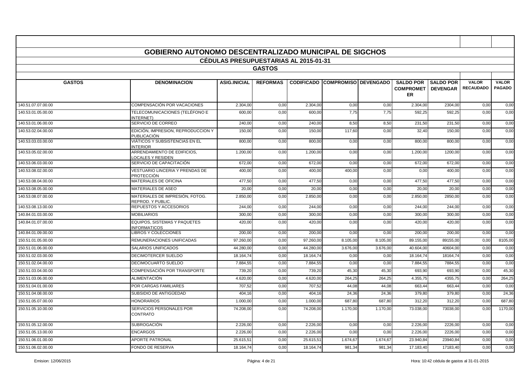|                    | <b>GOBIERNO AUTONOMO DESCENTRALIZADO MUNICIPAL DE SIGCHOS</b> |                                              |                 |           |                                        |          |                                                              |                  |                                  |                               |
|--------------------|---------------------------------------------------------------|----------------------------------------------|-----------------|-----------|----------------------------------------|----------|--------------------------------------------------------------|------------------|----------------------------------|-------------------------------|
|                    |                                                               | <b>CEDULAS PRESUPUESTARIAS AL 2015-01-31</b> |                 |           |                                        |          |                                                              |                  |                                  |                               |
|                    |                                                               |                                              | <b>GASTOS</b>   |           |                                        |          |                                                              |                  |                                  |                               |
|                    |                                                               |                                              |                 |           |                                        |          |                                                              |                  |                                  |                               |
| <b>GASTOS</b>      | <b>DENOMINACION</b>                                           | <b>ASIG.INICIAL</b>                          | <b>REFORMAS</b> |           | <b>CODIFICADO COMPROMISO DEVENGADO</b> |          | <b>SALDO POR</b><br><b>COMPROMET   DEVENGAR</b><br><b>ER</b> | <b>SALDO POR</b> | <b>VALOR</b><br><b>RECAUDADO</b> | <b>VALOR</b><br><b>PAGADO</b> |
| 140.51.07.07.00.00 | COMPENSACIÓN POR VACACIONES                                   | 2.304,00                                     | 0,00            | 2.304,00  | 0,00                                   | 0,00     | 2.304,00                                                     | 2304,00          | 0,00                             | 0,00                          |
| 140.53.01.05.00.00 | TELECOMUNICACIONES (TELÉFONO E<br>NTERNET)                    | 600,00                                       | 0,00            | 600,00    | 7,75                                   | 7,75     | 592,25                                                       | 592,25           | 0,00                             | 0.00                          |
| 140.53.01.06.00.00 | SERVICIO DE CORREO                                            | 240,00                                       | 0,00            | 240,00    | 8,50                                   | 8,50     | 231,50                                                       | 231,50           | 0,00                             | 0,00                          |
| 140.53.02.04.00.00 | EDICIÓN, IMPRESION, REPRODUCCION Y<br>PUBLICACIÓN             | 150,00                                       | 0.00            | 150.00    | 117,60                                 | 0.00     | 32.40                                                        | 150.00           | 0,00                             | 0.00                          |
| 140.53.03.03.00.00 | VIÁTICOS Y SUBSISTENCIAS EN EL<br><b>INTERIOR</b>             | 800,00                                       | 0,00            | 800,00    | 0,00                                   | 0.00     | 800,00                                                       | 800,00           | 0,00                             | 0,00                          |
| 140.53.05.02.00.00 | ARRENDAMIENTO DE EDIFICIOS.<br><b>LOCALES Y RESIDEN</b>       | 1.200,00                                     | 0,00            | 1.200,00  | 0,00                                   | 0.00     | 1.200.00                                                     | 1200.00          | 0,00                             | 0.00                          |
| 140.53.06.03.00.00 | SERVICIO DE CAPACITACIÓN                                      | 672,00                                       | 0,00            | 672,00    | 0,00                                   | 0,00     | 672,00                                                       | 672,00           | 0,00                             | 0,00                          |
| 140.53.08.02.00.00 | <b>VESTUARIO LINCERIA Y PRENDAS DE</b><br>PROTECCIÓN          | 400,00                                       | 0,00            | 400,00    | 400,00                                 | 0,00     | 0,00                                                         | 400,00           | 0,00                             | 0,00                          |
| 140.53.08.04.00.00 | <b>MATERIALES DE OFICINA</b>                                  | 477,50                                       | 0,00            | 477.50    | 0,00                                   | 0,00     | 477.50                                                       | 477.50           | 0,00                             | 0,00                          |
| 140.53.08.05.00.00 | MATERIALES DE ASEO                                            | 20,00                                        | 0,00            | 20,00     | 0,00                                   | 0,00     | 20,00                                                        | 20,00            | 0,00                             | 0,00                          |
| 140.53.08.07.00.00 | MATERIALES DE IMPRESIÓN, FOTOG.<br>REPROD, Y PUBLIC.          | 2.850,00                                     | 0,00            | 2.850,00  | 0,00                                   | 0,00     | 2.850,00                                                     | 2850,00          | 0,00                             | 0,00                          |
| 140.53.08.13.00.00 | REPUESTOS Y ACCESORIOS                                        | 244,00                                       | 0,00            | 244,00    | 0,00                                   | 0,00     | 244,00                                                       | 244,00           | 0,00                             | 0,00                          |
| 140.84.01.03.00.00 | <b>MOBILIARIOS</b>                                            | 300.00                                       | 0,00            | 300.00    | 0,00                                   | 0.00     | 300.00                                                       | 300.00           | 0,00                             | 0.00                          |
| 140.84.01.07.00.00 | EQUIPOS. SISTEMAS Y PAQUETES<br><b>INFORMATICOS</b>           | 420,00                                       | 0,00            | 420,00    | 0,00                                   | 0,00     | 420,00                                                       | 420,00           | 0,00                             | 0,00                          |
| 140.84.01.09.00.00 | <b>LIBROS Y COLECCIONES</b>                                   | 200,00                                       | 0,00            | 200.00    | 0,00                                   | 0,00     | 200.00                                                       | 200,00           | 0,00                             | 0,00                          |
| 150.51.01.05.00.00 | REMUNERACIONES UNIFICADAS                                     | 97.260,00                                    | 0,00            | 97.260,00 | 8.105,00                               | 8.105,00 | 89.155,00                                                    | 89155,00         | 0,00                             | 8105,00                       |
| 150.51.01.06.00.00 | <b>SALARIOS UNIFICADOS</b>                                    | 44.280,00                                    | 0,00            | 44.280.00 | 3.676,00                               | 3.676,00 | 40.604,00                                                    | 40604,00         | 0,00                             | 0,00                          |
| 150.51.02.03.00.00 | DECIMOTERCER SUELDO                                           | 18.164,74                                    | 0,00            | 18.164,74 | 0,00                                   | 0,00     | 18.164,74                                                    | 18164,74         | 0,00                             | 0,00                          |
| 150.51.02.04.00.00 | DECIMOCUARTO SUELDO                                           | 7.884,55                                     | 0,00            | 7.884,55  | 0,00                                   | 0,00     | 7.884,55                                                     | 7884,55          | 0,00                             | 0,00                          |
| 150.51.03.04.00.00 | COMPENSACIÓN POR TRANSPORTE                                   | 739,20                                       | 0,00            | 739.20    | 45,30                                  | 45,30    | 693.90                                                       | 693.90           | 0,00                             | 45,30                         |
| 150.51.03.06.00.00 | ALIMENTACIÓN                                                  | 4.620,00                                     | 0,00            | 4.620,00  | 264,25                                 | 264,25   | 4.355,75                                                     | 4355,75          | 0,00                             | 264,25                        |
| 150.51.04.01.00.00 | POR CARGAS FAMILIARES                                         | 707,52                                       | 0,00            | 707,52    | 44,08                                  | 44,08    | 663,44                                                       | 663,44           | 0,00                             | 0,00                          |
| 150.51.04.08.00.00 | SUBSIDIO DE ANTIGÜEDAD                                        | 404,16                                       | 0,00            | 404,16    | 24,36                                  | 24,36    | 379,80                                                       | 379,80           | 0,00                             | 24,36                         |
| 150.51.05.07.00.00 | <b>HONORARIOS</b>                                             | 1.000,00                                     | 0,00            | 1.000,00  | 687,80                                 | 687,80   | 312,20                                                       | 312,20           | 0,00                             | 687,80                        |
| 150.51.05.10.00.00 | SERVICIOS PERSONALES POR<br>CONTRATO                          | 74.208.00                                    | 0.00            | 74.208.00 | 1.170,00                               | 1.170.00 | 73.038.00                                                    | 73038.00         | 0,00                             | 1170.00                       |
| 150.51.05.12.00.00 | SUBROGACIÓN                                                   | 2.226,00                                     | 0,00            | 2.226,00  | 0,00                                   | 0,00     | 2.226,00                                                     | 2226,00          | 0,00                             | 0,00                          |
| 150.51.05.13.00.00 | <b>ENCARGOS</b>                                               | 2.226.00                                     | 0,00            | 2.226.00  | 0,00                                   | 0,00     | 2.226,00                                                     | 2226.00          | 0,00                             | 0,00                          |
| 150.51.06.01.00.00 | <b>APORTE PATRONAL</b>                                        | 25.615.51                                    | 0,00            | 25.615.51 | 1.674,67                               | 1.674.67 | 23.940.84                                                    | 23940.84         | 0,00                             | 0.00                          |
| 150.51.06.02.00.00 | <b>FONDO DE RESERVA</b>                                       | 18.164,74                                    | 0,00            | 18.164,74 | 981,34                                 | 981,34   | 17.183,40                                                    | 17183,40         | 0,00                             | 0,00                          |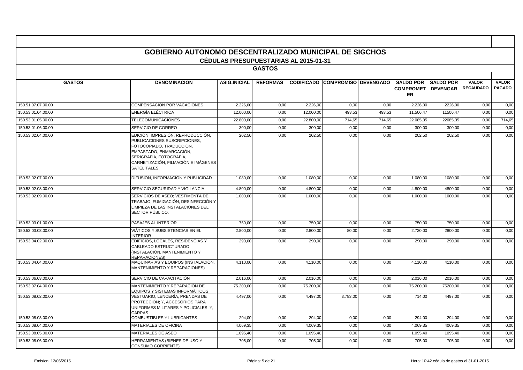|                    | <b>GOBIERNO AUTONOMO DESCENTRALIZADO MUNICIPAL DE SIGCHOS</b>                                                                                                                                              | <b>CEDULAS PRESUPUESTARIAS AL 2015-01-31</b> |                 |           |                                        |        |                                                   |                                     |                                  |                               |
|--------------------|------------------------------------------------------------------------------------------------------------------------------------------------------------------------------------------------------------|----------------------------------------------|-----------------|-----------|----------------------------------------|--------|---------------------------------------------------|-------------------------------------|----------------------------------|-------------------------------|
|                    |                                                                                                                                                                                                            |                                              | <b>GASTOS</b>   |           |                                        |        |                                                   |                                     |                                  |                               |
|                    |                                                                                                                                                                                                            |                                              |                 |           |                                        |        |                                                   |                                     |                                  |                               |
| <b>GASTOS</b>      | <b>DENOMINACION</b>                                                                                                                                                                                        | <b>ASIG.INICIAL</b>                          | <b>REFORMAS</b> |           | <b>CODIFICADO COMPROMISO DEVENGADO</b> |        | <b>SALDO POR</b><br><b>COMPROMET</b><br><b>ER</b> | <b>SALDO POR</b><br><b>DEVENGAR</b> | <b>VALOR</b><br><b>RECAUDADO</b> | <b>VALOR</b><br><b>PAGADO</b> |
| 150.51.07.07.00.00 | <b>COMPENSACIÓN POR VACACIONES</b>                                                                                                                                                                         | 2.226.00                                     | 0,00            | 2.226.00  | 0,00                                   | 0.00   | 2.226,00                                          | 2226,00                             | 0,00                             | 0,00                          |
| 150.53.01.04.00.00 | <b>ENERGÍA ELÉCTRICA</b>                                                                                                                                                                                   | 12.000,00                                    | 0,00            | 12.000,00 | 493,53                                 | 493,53 | 11.506,47                                         | 11506,47                            | 0,00                             | 0,00                          |
| 150.53.01.05.00.00 | <b>TELECOMUNICACIONES</b>                                                                                                                                                                                  | 22,800.00                                    | 0,00            | 22.800,00 | 714,65                                 | 714.65 | 22.085,35                                         | 22085,3                             | 0,00                             | 714,65                        |
| 150.53.01.06.00.00 | SERVICIO DE CORREO                                                                                                                                                                                         | 300,00                                       | 0,00            | 300,00    | 0,00                                   | 0,00   | 300,00                                            | 300,00                              | 0,00                             | 0,00                          |
| 150.53.02.04.00.00 | EDICIÓN, IMPRESIÓN, REPRODUCCIÓN,<br>PUBLICACIONES SUSCRIPCIONES.<br>FOTOCOPIADO, TRADUCCIÓN,<br>EMPASTADO, ENMARCACIÓN,<br>SERIGRAFÍA, FOTOGRAFÍA,<br>CARNETIZACIÓN, FILMACIÓN E IMÁGENES<br>SATELITALES. | 202,50                                       | 0.00            | 202,50    | 0,00                                   | 0.00   | 202.50                                            | 202.50                              | 0.00                             | 0,00                          |
| 150.53.02.07.00.00 | DIFUSION. INFORMACION Y PUBLICIDAD                                                                                                                                                                         | 1.080,00                                     | 0,00            | 1.080,00  | 0,00                                   | 0,00   | 1.080,00                                          | 1080,00                             | 0,00                             | 0,00                          |
| 150.53.02.08.00.00 | SERVICIO SEGURIDAD Y VIGILANCIA                                                                                                                                                                            | 4.800.00                                     | 0,00            | 4.800.00  | 0,00                                   | 0,00   | 4.800,00                                          | 4800,00                             | 0,00                             | 0,00                          |
| 150.53.02.09.00.00 | SERVICIOS DE ASEO; VESTIMENTA DE<br>TRABAJO; FUMIGACIÓN, DESINFECCIÓN Y<br>LIMPIEZA DE LAS INSTALACIONES DEL<br>SECTOR PÚBLICO.                                                                            | 1.000,00                                     | 0,00            | 1.000,00  | 0,00                                   | 0.00   | 1.000,00                                          | 1000,00                             | 0.00                             | 0,00                          |
| 150.53.03.01.00.00 | PASAJES AL INTERIOR                                                                                                                                                                                        | 750,00                                       | 0,00            | 750,00    | 0,00                                   | 0,00   | 750,00                                            | 750,00                              | 0,00                             | 0,00                          |
| 150.53.03.03.00.00 | VIÁTICOS Y SUBSISTENCIAS EN EL<br><b>INTERIOR</b>                                                                                                                                                          | 2.800.00                                     | 0,00            | 2.800.00  | 80,00                                  | 0.00   | 2.720.00                                          | 2800,00                             | 0.00                             | 0,00                          |
| 150.53.04.02.00.00 | EDIFICIOS, LOCALES, RESIDENCIAS Y<br>CABLEADO ESTRUCTURADO<br>(INSTALACIÓN, MANTENIMIENTO Y<br><b>REPARACIONES)</b>                                                                                        | 290,00                                       | 0,00            | 290,00    | 0,00                                   | 0,00   | 290,00                                            | 290,00                              | 0,00                             | 0,00                          |
| 150.53.04.04.00.00 | MAQUINARIAS Y EQUIPOS (INSTALACIÓN,<br><b>MANTENIMIENTO Y REPARACIONES)</b>                                                                                                                                | 4.110,00                                     | 0,00            | 4.110,00  | 0,00                                   | 0,00   | 4.110,00                                          | 4110,00                             | 0,00                             | 0,00                          |
| 150.53.06.03.00.00 | SERVICIO DE CAPACITACIÓN                                                                                                                                                                                   | 2.016.00                                     | 0.00            | 2.016.00  | 0,00                                   | 0.00   | 2.016.00                                          | 2016.00                             | 0.00                             | 0,00                          |
| 150.53.07.04.00.00 | MANTENIMIENTO Y REPARACIÓN DE<br>EQUIPOS Y SISTEMAS INFORMÁTICOS                                                                                                                                           | 75.200,00                                    | 0,00            | 75.200,00 | 0,00                                   | 0,00   | 75.200,00                                         | 75200,00                            | 0,00                             | 0,00                          |
| 150.53.08.02.00.00 | VESTUARIO, LENCERÍA, PRENDAS DE<br>PROTECCIÓN; Y, ACCESORIOS PARA<br>UNIFORMES MILITARES Y POLICIALES; Y,<br>CARPAS                                                                                        | 4.497,00                                     | 0,00            | 4.497,00  | 3.783,00                               | 0,00   | 714,00                                            | 4497,00                             | 0,00                             | 0,00                          |
| 150.53.08.03.00.00 | <b>COMBUSTIBLES Y LUBRICANTES</b>                                                                                                                                                                          | 294.00                                       | 0,00            | 294.00    | 0,00                                   | 0,00   | 294.00                                            | 294,00                              | 0,00                             | 0,00                          |
| 150.53.08.04.00.00 | <b>MATERIALES DE OFICINA</b>                                                                                                                                                                               | 4.069,35                                     | 0,00            | 4.069,35  | 0,00                                   | 0,00   | 4.069,35                                          | 4069,35                             | 0,00                             | 0,00                          |
| 150.53.08.05.00.00 | <b>MATERIALES DE ASEO</b>                                                                                                                                                                                  | 1.095,40                                     | 0,00            | 1.095,40  | 0,00                                   | 0,00   | 1.095,40                                          | 1095,40                             | 0,00                             | 0,00                          |
| 150.53.08.06.00.00 | HERRAMIENTAS (BIENES DE USO Y<br><b>CONSUMO CORRIENTE)</b>                                                                                                                                                 | 705,00                                       | 0,00            | 705,00    | 0,00                                   | 0,00   | 705,00                                            | 705,00                              | 0,00                             | 0,00                          |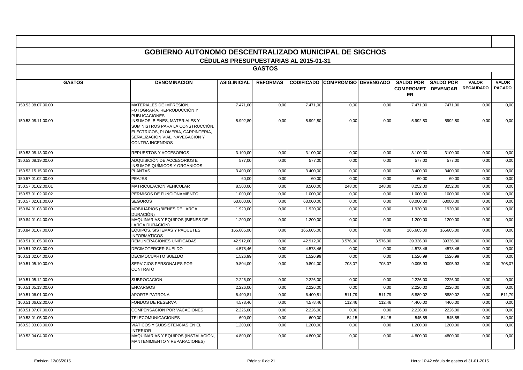|                    | <b>GOBIERNO AUTONOMO DESCENTRALIZADO MUNICIPAL DE SIGCHOS</b>                                                                                                          |                                       |                 |            |                                        |          |                                                   |                                     |                                  |                               |
|--------------------|------------------------------------------------------------------------------------------------------------------------------------------------------------------------|---------------------------------------|-----------------|------------|----------------------------------------|----------|---------------------------------------------------|-------------------------------------|----------------------------------|-------------------------------|
|                    |                                                                                                                                                                        | CÉDULAS PRESUPUESTARIAS AL 2015-01-31 |                 |            |                                        |          |                                                   |                                     |                                  |                               |
|                    |                                                                                                                                                                        |                                       | <b>GASTOS</b>   |            |                                        |          |                                                   |                                     |                                  |                               |
|                    |                                                                                                                                                                        |                                       |                 |            |                                        |          |                                                   |                                     |                                  |                               |
| <b>GASTOS</b>      | <b>DENOMINACION</b>                                                                                                                                                    | <b>ASIG.INICIAL</b>                   | <b>REFORMAS</b> |            | <b>CODIFICADO COMPROMISO DEVENGADO</b> |          | <b>SALDO POR</b><br><b>COMPROMET</b><br><b>ER</b> | <b>SALDO POR</b><br><b>DEVENGAR</b> | <b>VALOR</b><br><b>RECAUDADO</b> | <b>VALOR</b><br><b>PAGADO</b> |
| 150.53.08.07.00.00 | MATERIALES DE IMPRESIÓN,<br>FOTOGRAFÍA, REPRODUCCIÓN Y<br><b>PUBLICACIONES</b>                                                                                         | 7.471,00                              | 0,00            | 7.471,00   | 0,00                                   | 0,00     | 7.471,00                                          | 7471,00                             | 0,00                             | 0,00                          |
| 150.53.08.11.00.00 | INSUMOS, BIENES, MATERIALES Y<br>SUMINISTROS PARA LA CONSTRUCCIÓN.<br>ELÉCTRICOS, PLOMERÍA, CARPINTERÍA,<br>SEÑALIZACIÓN VIAL, NAVEGACIÓN Y<br><b>CONTRA INCENDIOS</b> | 5.992,80                              | 0,00            | 5.992,80   | 0,00                                   | 0.00     | 5.992.80                                          | 5992,80                             | 0,00                             | 0,00                          |
| 150.53.08.13.00.00 | REPUESTOS Y ACCESORIOS                                                                                                                                                 | 3.100,00                              | 0,00            | 3.100,00   | 0,00                                   | 0,00     | 3.100,00                                          | 3100,00                             | 0,00                             | 0,00                          |
| 150.53.08.19.00.00 | ADQUISICIÓN DE ACCESORIOS E<br>INSUMOS QUÍMICOS Y ORGÁNICOS                                                                                                            | 577,00                                | 0.00            | 577,00     | 0,00                                   | 0.00     | 577,00                                            | 577,00                              | 0,00                             | 0,00                          |
| 150.53.15.15.00.00 | <b>PLANTAS</b>                                                                                                                                                         | 3.400,00                              | 0,00            | 3.400,00   | 0,00                                   | 0,00     | 3.400,00                                          | 3400,00                             | 0,00                             | 0,00                          |
| 150.57.01.02.00.00 | <b>PEAJES</b>                                                                                                                                                          | 60,00                                 | 0,00            | 60,00      | 0,00                                   | 0.00     | 60,00                                             | 60,00                               | 0,00                             | 0,00                          |
| 150.57.01.02.00.01 | <b>MATRICULACION VEHICULAR</b>                                                                                                                                         | 8.500,0                               | 0,00            | 8.500,00   | 248,00                                 | 248.00   | 8.252,00                                          | 8252,00                             | 0,00                             | 0,00                          |
| 150.57.01.02.00.02 | PERMISOS DE FUNCIONAMIENTO                                                                                                                                             | 1.000,00                              | 0,00            | 1.000,00   | 0,00                                   | 0,00     | 1.000,00                                          | 1000,00                             | 0,00                             | 0,00                          |
| 150.57.02.01.00.00 | <b>SEGUROS</b>                                                                                                                                                         | 63.000,00                             | 0,00            | 63.000,00  | 0,00                                   | 0,00     | 63.000,00                                         | 63000,00                            | 0,00                             | 0,00                          |
| 150.84.01.03.00.00 | MOBILIARIOS (BIENES DE LARGA<br>DURACIÓN)                                                                                                                              | 1.920,00                              | 0,00            | 1.920,00   | 0,00                                   | 0,00     | 1.920,00                                          | 1920,00                             | 0,00                             | 0,00                          |
| 150.84.01.04.00.00 | MAQUINARIAS Y EQUIPOS (BIENES DE<br>LARGA DURACIÓN)                                                                                                                    | 1.200,00                              | 0,00            | 1.200,00   | 0,00                                   | 0,00     | 1.200,00                                          | 1200,00                             | 0,00                             | 0,00                          |
| 150.84.01.07.00.00 | <b>EQUIPOS, SISTEMAS Y PAQUETES</b><br><b>INFORMÁTICOS</b>                                                                                                             | 165.605,00                            | 0,00            | 165.605,00 | 0,00                                   | 0,00     | 165.605,00                                        | 165605,00                           | 0,00                             | 0,00                          |
| 160.51.01.05.00.00 | REMUNERACIONES UNIFICADAS                                                                                                                                              | 42.912.00                             | 0,00            | 42.912,00  | 3.576,00                               | 3.576,00 | 39.336.00                                         | 39336,00                            | 0,00                             | 0,00                          |
| 160.51.02.03.00.00 | DECIMOTERCER SUELDO                                                                                                                                                    | 4.578,46                              | 0,00            | 4.578,46   | 0,00                                   | 0,00     | 4.578,46                                          | 4578,46                             | 0,00                             | 0,00                          |
| 160.51.02.04.00.00 | <b>DECIMOCUARTO SUELDO</b>                                                                                                                                             | 1.526.99                              | 0,00            | 1.526.99   | 0,00                                   | 0.00     | 1.526.99                                          | 1526.99                             | 0,00                             | 0,00                          |
| 160.51.05.10.00.00 | SERVICIOS PERSONALES POR<br><b>CONTRATO</b>                                                                                                                            | 9.804,00                              | 0.00            | 9.804,00   | 708,07                                 | 708,07   | 9.095,93                                          | 9095,93                             | 0,00                             | 708.07                        |
| 160.51.05.12.00.00 | <b>SUBROGACION</b>                                                                                                                                                     | 2.226,00                              | 0,00            | 2.226.00   | 0,00                                   | 0.00     | 2.226,00                                          | 2226,00                             | 0,00                             | 0,00                          |
| 160.51.05.13.00.00 | <b>ENCARGOS</b>                                                                                                                                                        | 2.226.00                              | 0,00            | 2.226,00   | 0,00                                   | 0.00     | 2.226.00                                          | 2226.00                             | 0,00                             | 0,00                          |
| 160.51.06.01.00.00 | <b>APORTE PATRONAL</b>                                                                                                                                                 | 6.400,8                               | 0,00            | 6.400.8    | 511,79                                 | 511,79   | 5.889,02                                          | 5889,02                             | 0,00                             | 511,79                        |
| 160.51.06.02.00.00 | FONDOS DE RESERVA                                                                                                                                                      | 4.578,46                              | 0,00            | 4.578,46   | 112,46                                 | 112,46   | 4.466,00                                          | 4466,00                             | 0,00                             | 0,00                          |
| 160.51.07.07.00.00 | <b>COMPENSACIÓN POR VACACIONES</b>                                                                                                                                     | 2.226,00                              | 0,00            | 2.226,00   | 0,00                                   | 0.00     | 2.226,00                                          | 2226,00                             | 0,00                             | 0,00                          |
| 160.53.01.05.00.00 | <b>TELECOMUNICACIONES</b>                                                                                                                                              | 600,00                                | 0,00            | 600,00     | 54,15                                  | 54,15    | 545,8                                             | 545,85                              | 0,00                             | 0,00                          |
| 160.53.03.03.00.00 | VIÁTICOS Y SUBSISTENCIAS EN EL<br><b>NTERIOR</b>                                                                                                                       | 1.200,00                              | 0,00            | 1.200,00   | 0,00                                   | 0,00     | 1.200,00                                          | 1200,00                             | 0,00                             | 0,00                          |
| 160.53.04.04.00.00 | MAQUINARIAS Y EQUIPOS (INSTALACIÓN,<br><b>MANTENIMIENTO Y REPARACIONES)</b>                                                                                            | 4.800,00                              | 0,00            | 4.800,00   | 0,00                                   | 0,00     | 4.800,00                                          | 4800,00                             | 0,00                             | 0,00                          |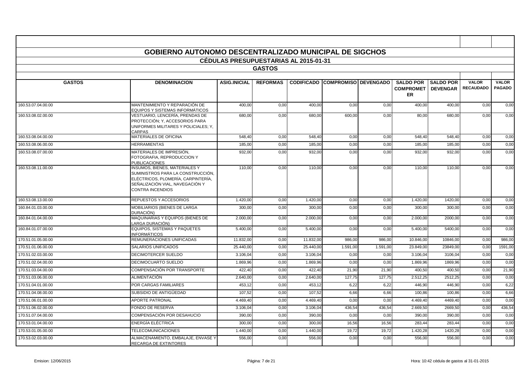|                    | <b>GOBIERNO AUTONOMO DESCENTRALIZADO MUNICIPAL DE SIGCHOS</b>                                                                                                                 |                                              |                 |           |                                        |          |                               |                  |                  |               |
|--------------------|-------------------------------------------------------------------------------------------------------------------------------------------------------------------------------|----------------------------------------------|-----------------|-----------|----------------------------------------|----------|-------------------------------|------------------|------------------|---------------|
|                    |                                                                                                                                                                               | <b>CÉDULAS PRESUPUESTARIAS AL 2015-01-31</b> |                 |           |                                        |          |                               |                  |                  |               |
|                    |                                                                                                                                                                               |                                              | <b>GASTOS</b>   |           |                                        |          |                               |                  |                  |               |
| <b>GASTOS</b>      | <b>DENOMINACION</b>                                                                                                                                                           | <b>ASIG.INICIAL</b>                          | <b>REFORMAS</b> |           | <b>CODIFICADO COMPROMISO DEVENGADO</b> |          | <b>SALDO POR</b>              | <b>SALDO POR</b> | <b>VALOR</b>     | <b>VALOR</b>  |
|                    |                                                                                                                                                                               |                                              |                 |           |                                        |          | <b>COMPROMET</b><br><b>ER</b> | <b>DEVENGAR</b>  | <b>RECAUDADO</b> | <b>PAGADO</b> |
| 160.53.07.04.00.00 | MANTENIMIENTO Y REPARACIÓN DE<br>EQUIPOS Y SISTEMAS INFORMÁTICOS                                                                                                              | 400,00                                       | 0,00            | 400,00    | 0,00                                   | 0,00     | 400,00                        | 400,00           | 0,00             | 0,00          |
| 160.53.08.02.00.00 | VESTUARIO, LENCERÍA, PRENDAS DE<br>PROTECCIÓN; Y, ACCESORIOS PARA<br>UNIFORMES MILITARES Y POLICIALES; Y,<br>CARPAS                                                           | 680,00                                       | 0,00            | 680,00    | 600,00                                 | 0,00     | 80,00                         | 680,00           | 0,00             | 0,00          |
| 160.53.08.04.00.00 | <b>MATERIALES DE OFICINA</b>                                                                                                                                                  | 548.40                                       | 0,00            | 548.40    | 0,00                                   | 0,00     | 548,40                        | 548.40           | 0,00             | 0,00          |
| 160.53.08.06.00.00 | <b>HERRAMIENTAS</b>                                                                                                                                                           | 185,00                                       | 0,00            | 185,00    | 0,00                                   | 0,00     | 185,00                        | 185,00           | 0,00             | 0,00          |
| 160.53.08.07.00.00 | MATERIALES DE IMPRESIÓN,<br>FOTOGRAFIA. REPRODUCCION Y<br><b>PUBLICACIONES</b>                                                                                                | 932,00                                       | 0,00            | 932,00    | 0,00                                   | 0,00     | 932,00                        | 932,00           | 0,00             | 0,00          |
| 160.53.08.11.00.00 | <b>INSUMOS, BIENES, MATERIALES Y</b><br>SUMINISTROS PARA LA CONSTRUCCIÓN,<br>ELÉCTRICOS, PLOMERÍA, CARPINTERÍA,<br>SEÑALIZACIÓN VIAL. NAVEGACIÓN Y<br><b>CONTRA INCENDIOS</b> | 110.00                                       | 0.00            | 110.00    | 0,00                                   | 0.00     | 110.00                        | 110.00           | 0.00             | 0.00          |
| 160.53.08.13.00.00 | REPUESTOS Y ACCESORIOS                                                                                                                                                        | 1.420,00                                     | 0,00            | 1.420,00  | 0,00                                   | 0,00     | 1.420,00                      | 1420,00          | 0,00             | 0,00          |
| 160.84.01.03.00.00 | MOBILIARIOS (BIENES DE LARGA<br>DURACIÓN)                                                                                                                                     | 300,00                                       | 0,00            | 300,00    | 0,00                                   | 0,00     | 300,00                        | 300,00           | 0,00             | 0,00          |
| 160.84.01.04.00.00 | MAQUINARIAS Y EQUIPOS (BIENES DE<br>LARGA DURACIÓN)                                                                                                                           | 2.000.00                                     | 0.00            | 2.000.00  | 0.00                                   | 0.00     | 2.000.00                      | 2000.00          | 0,00             | 0,00          |
| 160.84.01.07.00.00 | <b>EQUIPOS, SISTEMAS Y PAQUETES</b><br><b>INFORMÁTICOS</b>                                                                                                                    | 5.400,00                                     | 0.00            | 5.400,00  | 0,00                                   | 0.00     | 5.400,00                      | 5400,00          | 0,00             | 0,00          |
| 170.51.01.05.00.00 | REMUNERACIONES UNIFICADAS                                                                                                                                                     | 11.832,00                                    | 0,00            | 11.832,00 | 986,00                                 | 986,00   | 10.846,00                     | 10846,00         | 0,00             | 986,00        |
| 170.51.01.06.00.00 | SALARIOS UNIFICADOS                                                                                                                                                           | 25.440.00                                    | 0.00            | 25.440.00 | 1.591.00                               | 1.591.00 | 23.849.00                     | 23849.00         | 0,00             | 1591.00       |
| 170.51.02.03.00.00 | <b>DECIMOTERCER SUELDO</b>                                                                                                                                                    | 3.106,04                                     | 0,00            | 3.106,04  | 0,00                                   | 0,00     | 3.106,04                      | 3106,04          | 0,00             | 0,00          |
| 170.51.02.04.00.00 | DECIMOCUARTO SUELDO                                                                                                                                                           | 1.869,96                                     | 0,00            | 1.869,96  | 0,00                                   | 0,00     | 1.869,96                      | 1869,96          | 0,00             | 0,00          |
| 170.51.03.04.00.00 | <b>COMPENSACIÓN POR TRANSPORTE</b>                                                                                                                                            | 422.40                                       | 0.00            | 422.40    | 21.90                                  | 21.90    | 400.50                        | 400.50           | 0,00             | 21,90         |
| 170.51.03.06.00.00 | <b>ALIMENTACIÓN</b>                                                                                                                                                           | 2.640,00                                     | 0,00            | 2.640,00  | 127,75                                 | 127,75   | 2.512,25                      | 2512,25          | 0,00             | 0,00          |
| 170.51.04.01.00.00 | POR CARGAS FAMILIARES                                                                                                                                                         | 453,12                                       | 0,00            | 453,12    | 6,22                                   | 6,22     | 446,90                        | 446.90           | 0,00             | 6,22          |
| 170.51.04.08.00.00 | SUBSIDIO DE ANTIGÜEDAD                                                                                                                                                        | 107,52                                       | 0,00            | 107,52    | 6,66                                   | 6,66     | 100,86                        | 100,86           | 0,00             | 6,66          |
| 170.51.06.01.00.00 | <b>APORTE PATRONAL</b>                                                                                                                                                        | 4.469,40                                     | 0,00            | 4.469,40  | 0,00                                   | 0,00     | 4.469,40                      | 4469.40          | 0,00             | 0,00          |
| 170.51.06.02.00.00 | <b>FONDO DE RESERVA</b>                                                                                                                                                       | 3.106.04                                     | 0,00            | 3.106.04  | 436,54                                 | 436.54   | 2.669,50                      | 2669.50          | 0,00             | 436,54        |
| 170.51.07.04.00.00 | COMPENSACIÓN POR DESAHUCIO                                                                                                                                                    | 390,00                                       | 0,00            | 390,00    | 0,00                                   | 0,00     | 390,00                        | 390,00           | 0,00             | 0,00          |
| 170.53.01.04.00.00 | ENERGÍA ELÉCTRICA                                                                                                                                                             | 300.00                                       | 0,00            | 300,00    | 16,56                                  | 16,56    | 283,44                        | 283.44           | 0,00             | 0,00          |
| 170.53.01.05.00.00 | <b>TELECOMUNICACIONES</b>                                                                                                                                                     | 1.440,00                                     | 0,00            | 1.440,00  | 19,72                                  | 19,72    | 1.420,28                      | 1420,28          | 0,00             | 0,00          |
| 170.53.02.03.00.00 | ALMACENAMIENTO, EMBALAJE, ENVASE Y<br><b>RECARGA DE EXTINTORES</b>                                                                                                            | 556,00                                       | 0,00            | 556,00    | 0,00                                   | 0,00     | 556,00                        | 556,00           | 0,00             | 0,00          |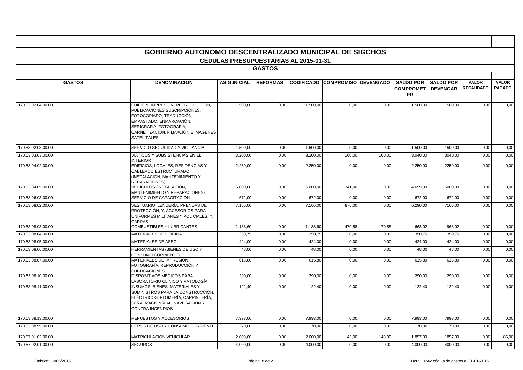|                    | <b>GOBIERNO AUTONOMO DESCENTRALIZADO MUNICIPAL DE SIGCHOS</b>                                                                                                                                              |                                              |                 |          |                                        |        |                                                              |                  |                                  |                               |
|--------------------|------------------------------------------------------------------------------------------------------------------------------------------------------------------------------------------------------------|----------------------------------------------|-----------------|----------|----------------------------------------|--------|--------------------------------------------------------------|------------------|----------------------------------|-------------------------------|
|                    |                                                                                                                                                                                                            | <b>CÉDULAS PRESUPUESTARIAS AL 2015-01-31</b> |                 |          |                                        |        |                                                              |                  |                                  |                               |
|                    |                                                                                                                                                                                                            |                                              | <b>GASTOS</b>   |          |                                        |        |                                                              |                  |                                  |                               |
|                    |                                                                                                                                                                                                            |                                              |                 |          |                                        |        |                                                              |                  |                                  |                               |
| <b>GASTOS</b>      | <b>DENOMINACION</b>                                                                                                                                                                                        | <b>ASIG.INICIAL</b>                          | <b>REFORMAS</b> |          | <b>CODIFICADO COMPROMISO DEVENGADO</b> |        | <b>SALDO POR</b><br><b>COMPROMET   DEVENGAR</b><br><b>ER</b> | <b>SALDO POR</b> | <b>VALOR</b><br><b>RECAUDADO</b> | <b>VALOR</b><br><b>PAGADO</b> |
| 170.53.02.04.00.00 | EDICIÓN, IMPRESIÓN, REPRODUCCIÓN,<br>PUBLICACIONES SUSCRIPCIONES,<br>FOTOCOPIADO, TRADUCCIÓN,<br>EMPASTADO, ENMARCACIÓN,<br>SERIGRAFÍA, FOTOGRAFÍA,<br>CARNETIZACIÓN, FILMACIÓN E IMÁGENES<br>SATELITALES. | 1.500,00                                     | 0,00            | 1.500,00 | 0,00                                   | 0,00   | 1.500,00                                                     | 1500,00          | 0,00                             | 0,00                          |
| 170.53.02.08.00.00 | SERVICIO SEGURIDAD Y VIGILANCIA                                                                                                                                                                            | 1.500.00                                     | 0.00            | 1.500.00 | 0,00                                   | 0,00   | 1.500.00                                                     | 1500.00          | 0,00                             | 0,00                          |
| 170.53.03.03.00.00 | VIÁTICOS Y SUBSISTENCIAS EN EL<br><b>INTERIOR</b>                                                                                                                                                          | 3.200,00                                     | 0,00            | 3.200,00 | 160,00                                 | 160,00 | 3.040,00                                                     | 3040,00          | 0,00                             | 0,00                          |
| 170.53.04.02.00.00 | EDIFICIOS, LOCALES, RESIDENCIAS Y<br>CABLEADO ESTRUCTURADO<br>(INSTALACIÓN, MANTENIMIENTO Y<br>REPARACIONES)                                                                                               | 2.250,00                                     | 0,00            | 2.250,00 | 0,00                                   | 0,00   | 2.250,00                                                     | 2250,00          | 0,00                             | 0,00                          |
| 170.53.04.05.00.00 | VEHÍCULOS (INSTALACIÓN,<br>MANTENIMIENTO Y REPARACIONES)                                                                                                                                                   | 5.000,00                                     | 0,00            | 5.000,00 | 341,00                                 | 0,00   | 4.659.00                                                     | 5000,00          | 0,00                             | 0.00                          |
| 170.53.06.03.00.00 | SERVICIO DE CAPACITACIÓN                                                                                                                                                                                   | 672,00                                       | 0,00            | 672,00   | 0,00                                   | 0,00   | 672,00                                                       | 672,00           | 0,00                             | 0,00                          |
| 170.53.08.02.00.00 | VESTUARIO, LENCERÍA, PRENDAS DE<br>PROTECCIÓN; Y, ACCESORIOS PARA<br>UNIFORMES MILITARES Y POLICIALES: Y.<br>CARPAS                                                                                        | 7.166,00                                     | 0.00            | 7.166,00 | 876,00                                 | 0.00   | 6.290.00                                                     | 7166,00          | 0,00                             | 0,00                          |
| 170.53.08.03.00.00 | <b>COMBUSTIBLES Y LUBRICANTES</b>                                                                                                                                                                          | 1.138,60                                     | 0,00            | 1.138,60 | 470,58                                 | 170,58 | 668.02                                                       | 968.02           | 0,00                             | 0,00                          |
| 170.53.08.04.00.00 | <b>MATERIALES DE OFICINA</b>                                                                                                                                                                               | 350,75                                       | 0,00            | 350,75   | 0,00                                   | 0,00   | 350,75                                                       | 350,75           | 0,00                             | 0,00                          |
| 170.53.08.05.00.00 | MATERIALES DE ASEO                                                                                                                                                                                         | 424,00                                       | 0,00            | 424,00   | 0,00                                   | 0,00   | 424,00                                                       | 424,00           | 0,00                             | 0,00                          |
| 170.53.08.06.00.00 | HERRAMIENTAS (BIENES DE USO Y<br><b>CONSUMO CORRIENTE)</b>                                                                                                                                                 | 48,00                                        | 0,00            | 48,00    | 0,00                                   | 0,00   | 48,00                                                        | 48,00            | 0,00                             | 0,00                          |
| 170.53.08.07.00.00 | MATERIALES DE IMPRESIÓN,<br>FOTOGRAFÍA. REPRODUCCIÓN Y<br><b>PUBLICACIONES</b>                                                                                                                             | 615,80                                       | 0,00            | 615,80   | 0,00                                   | 0,00   | 615,80                                                       | 615,80           | 0,00                             | 0,00                          |
| 170.53.08.10.00.00 | <b>DISPOSITIVOS MÉDICOS PARA</b><br>LABORATORIO CLÍNICO Y PATOLOGÍA                                                                                                                                        | 290.00                                       | 0,00            | 290,00   | 0,00                                   | 0,00   | 290.00                                                       | 290,00           | 0,00                             | 0.00                          |
| 170.53.08.11.00.00 | INSUMOS, BIENES, MATERIALES Y<br>SUMINISTROS PARA LA CONSTRUCCIÓN,<br>ELÉCTRICOS, PLOMERÍA, CARPINTERÍA,<br>SEÑALIZACIÓN VIAL. NAVEGACIÓN Y<br><b>CONTRA INCENDIOS</b>                                     | 122,40                                       | 0,00            | 122,40   | 0,00                                   | 0,00   | 122,40                                                       | 122,40           | 0,00                             | 0,00                          |
| 170.53.08.13.00.00 | REPUESTOS Y ACCESORIOS                                                                                                                                                                                     | 7.993,00                                     | 0,00            | 7.993,00 | 0,00                                   | 0,00   | 7.993,00                                                     | 7993,00          | 0,00                             | 0,00                          |
| 170.53.08.99.00.00 | OTROS DE USO Y CONSUMO CORRIENTE                                                                                                                                                                           | 70,00                                        | 0,00            | 70,00    | 0,00                                   | 0,00   | 70,00                                                        | 70,00            | 0,00                             | 0,00                          |
| 170.57.01.02.00.00 | MATRICULACION VEHICULAR                                                                                                                                                                                    | 2.000,00                                     | 0,00            | 2.000,00 | 143,00                                 | 143,00 | 1.857,00                                                     | 1857,00          | 0,00                             | 86,00                         |
| 170.57.02.01.00.00 | <b>SEGUROS</b>                                                                                                                                                                                             | 4.000,00                                     | 0,00            | 4.000,00 | 0,00                                   | 0,00   | 4.000,00                                                     | 4000,00          | 0,00                             | 0,00                          |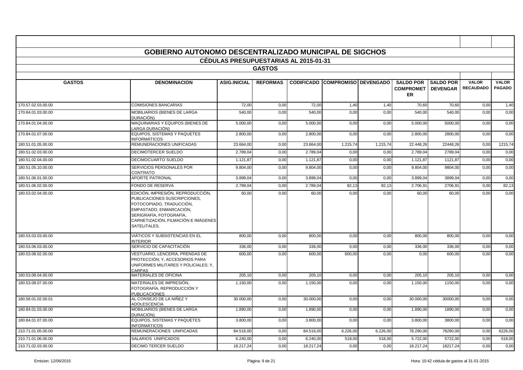|                    | <b>GOBIERNO AUTONOMO DESCENTRALIZADO MUNICIPAL DE SIGCHOS</b>                                                                                                                                              | <b>CÉDULAS PRESUPUESTARIAS AL 2015-01-31</b> |                 |           |                                        |          |                                          |                     |                                  |                               |
|--------------------|------------------------------------------------------------------------------------------------------------------------------------------------------------------------------------------------------------|----------------------------------------------|-----------------|-----------|----------------------------------------|----------|------------------------------------------|---------------------|----------------------------------|-------------------------------|
|                    |                                                                                                                                                                                                            |                                              | <b>GASTOS</b>   |           |                                        |          |                                          |                     |                                  |                               |
|                    |                                                                                                                                                                                                            |                                              |                 |           |                                        |          |                                          |                     |                                  |                               |
| <b>GASTOS</b>      | <b>DENOMINACION</b>                                                                                                                                                                                        | <b>ASIG.INICIAL</b>                          | <b>REFORMAS</b> |           | <b>CODIFICADO COMPROMISO DEVENGADO</b> |          | <b>COMPROMET   DEVENGAR</b><br><b>ER</b> | SALDO POR SALDO POR | <b>VALOR</b><br><b>RECAUDADO</b> | <b>VALOR</b><br><b>PAGADO</b> |
| 170.57.02.03.00.00 | <b>COMISIONES BANCARIAS</b>                                                                                                                                                                                | 72,00                                        | 0,00            | 72,00     | 1,40                                   | 1,40     | 70,60                                    | 70,60               | 0,00                             | 1,40                          |
| 170.84.01.03.00.00 | MOBILIARIOS (BIENES DE LARGA<br>DURACIÓN)                                                                                                                                                                  | 540,00                                       | 0,00            | 540,00    | 0,00                                   | 0,00     | 540,00                                   | 540.00              | 0,00                             | 0.00                          |
| 170.84.01.04.00.00 | MAQUINARIAS Y EQUIPOS (BIENES DE<br>LARGA DURACIÓN)                                                                                                                                                        | 5.000.00                                     | 0,00            | 5.000.00  | 0,00                                   | 0.00     | 5.000.00                                 | 5000.00             | 0,00                             | 0.00                          |
| 170.84.01.07.00.00 | <b>EQUIPOS, SISTEMAS Y PAQUETES</b><br><b>INFORMÁTICOS</b>                                                                                                                                                 | 2.800,00                                     | 0,00            | 2.800,00  | 0,00                                   | 0,00     | 2.800,00                                 | 2800,00             | 0,00                             | 0,00                          |
| 180.51.01.05.00.00 | REMUNERACIONES UNIFICADAS                                                                                                                                                                                  | 23.664,00                                    | 0,00            | 23.664.00 | 1.215,74                               | 1.215,74 | 22.448.26                                | 22448.26            | 0,00                             | 1215,74                       |
| 180.51.02.03.00.00 | <b>DECIMOTERCER SUELDO</b>                                                                                                                                                                                 | 2.789,04                                     | 0,00            | 2.789,04  | 0,00                                   | 0,00     | 2.789,04                                 | 2789,04             | 0,00                             | 0,00                          |
| 180.51.02.04.00.00 | <b>DECIMOCUARTO SUELDO</b>                                                                                                                                                                                 | 1.121.87                                     | 0,00            | 1.121.87  | 0,00                                   | 0,00     | 1.121.87                                 | 1121.87             | 0,00                             | 0.00                          |
| 180.51.05.10.00.00 | SERVICIOS PERSONALES POR<br><b>CONTRATO</b>                                                                                                                                                                | 9.804,00                                     | 0,00            | 9.804,00  | 0,00                                   | 0,00     | 9.804,00                                 | 9804,00             | 0,00                             | 0,00                          |
| 180.51.06.01.00.00 | <b>APORTE PATRONAL</b>                                                                                                                                                                                     | 3.899,04                                     | 0,00            | 3.899,04  | 0,00                                   | 0,00     | 3.899,04                                 | 3899,04             | 0,00                             | 0,00                          |
| 180.51.06.02.00.00 | <b>FONDO DE RESERVA</b>                                                                                                                                                                                    | 2.789.04                                     | 0,00            | 2.789.04  | 82,13                                  | 82,13    | 2.706.91                                 | 2706.91             | 0,00                             | 82,13                         |
| 180.53.02.04.00.00 | EDICIÓN, IMPRESIÓN, REPRODUCCIÓN,<br>PUBLICACIONES SUSCRIPCIONES,<br>FOTOCOPIADO, TRADUCCIÓN,<br>EMPASTADO, ENMARCACIÓN,<br>SERIGRAFÍA, FOTOGRAFÍA,<br>CARNETIZACIÓN, FILMACIÓN E IMÁGENES<br>SATELITALES. | 60,00                                        | 0,00            | 60,00     | 0,00                                   | 0.00     | 60,00                                    | 60,00               | 0,00                             | 0,00                          |
| 180.53.03.03.00.00 | VIÁTICOS Y SUBSISTENCIAS EN EL<br><b>INTERIOR</b>                                                                                                                                                          | 800,00                                       | 0,00            | 800,00    | 0,00                                   | 0,00     | 800,00                                   | 800,00              | 0,00                             | 0,00                          |
| 180.53.06.03.00.00 | SERVICIO DE CAPACITACIÓN                                                                                                                                                                                   | 336,00                                       | 0,00            | 336,00    | 0,00                                   | 0,00     | 336,00                                   | 336,00              | 0,00                             | 0,00                          |
| 180.53.08.02.00.00 | VESTUARIO. LENCERÍA. PRENDAS DE<br>PROTECCIÓN; Y, ACCESORIOS PARA<br>UNIFORMES MILITARES Y POLICIALES: Y.<br>CARPAS                                                                                        | 600,00                                       | 0,00            | 600.00    | 600,00                                 | 0.00     | 0,00                                     | 600,00              | 0,00                             | 0,00                          |
| 180.53.08.04.00.00 | MATERIALES DE OFICINA                                                                                                                                                                                      | 205,10                                       | 0,00            | 205,10    | 0,00                                   | 0,00     | 205,10                                   | 205,10              | 0,00                             | 0,00                          |
| 180.53.08.07.00.00 | MATERIALES DE IMPRESIÓN.<br>FOTOGRAFÍA. REPRODUCCIÓN Y<br><b>PUBLICACIONES</b>                                                                                                                             | 1.150,00                                     | 0,00            | 1.150.00  | 0,00                                   | 0.00     | 1.150,00                                 | 1150.00             | 0,00                             | 0.00                          |
| 180.58.01.02.00.01 | AL CONSEJO DE LA NIÑEZ Y<br><b>ADOLESCENCIA</b>                                                                                                                                                            | 30.000,00                                    | 0,00            | 30.000,00 | 0,00                                   | 0,00     | 30.000,00                                | 30000,00            | 0,00                             | 0,00                          |
| 180.84.01.03.00.00 | <b>MOBILIARIOS (BIENES DE LARGA</b><br>DURACIÓN)                                                                                                                                                           | 1.890,00                                     | 0,00            | 1.890,00  | 0,00                                   | 0,00     | 1.890,00                                 | 1890,00             | 0,00                             | 0,00                          |
| 180.84.01.07.00.00 | <b>EQUIPOS, SISTEMAS Y PAQUETES</b><br>INFORMÁTICOS                                                                                                                                                        | 3.800,00                                     | 0,00            | 3.800,00  | 0,00                                   | 0,00     | 3.800,00                                 | 3800,00             | 0,00                             | 0,00                          |
| 210.71.01.05.00.00 | REMUNERACIONES UNIFICADAS                                                                                                                                                                                  | 84.516.00                                    | 0,00            | 84.516.00 | 6.226,00                               | 6.226,00 | 78.290.00                                | 78290.00            | 0,00                             | 6226,00                       |
| 210.71.01.06.00.00 | SALARIOS UNIFICADOS                                                                                                                                                                                        | 6.240,00                                     | 0,00            | 6.240,00  | 518,00                                 | 518,00   | 5.722,00                                 | 5722,00             | 0,00                             | 518,00                        |
| 210.71.02.03.00.00 | <b>DECIMO TERCER SUELDO</b>                                                                                                                                                                                | 18.217,24                                    | 0,00            | 18.217,24 | 0,00                                   | 0,00     | 18.217,24                                | 18217,24            | 0,00                             | 0,00                          |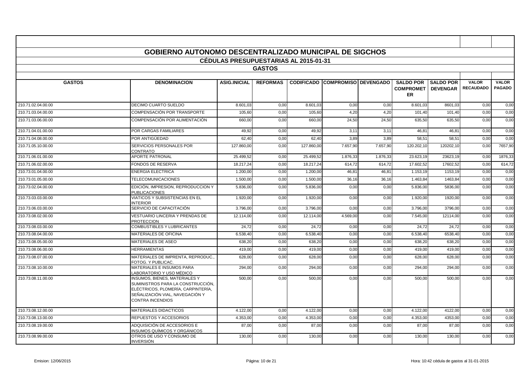|                    | <b>GOBIERNO AUTONOMO DESCENTRALIZADO MUNICIPAL DE SIGCHOS</b>                                                                                                          |                                              |                 |            |                                        |          |                                                       |                  |                                  |                               |
|--------------------|------------------------------------------------------------------------------------------------------------------------------------------------------------------------|----------------------------------------------|-----------------|------------|----------------------------------------|----------|-------------------------------------------------------|------------------|----------------------------------|-------------------------------|
|                    |                                                                                                                                                                        | <b>CÉDULAS PRESUPUESTARIAS AL 2015-01-31</b> |                 |            |                                        |          |                                                       |                  |                                  |                               |
|                    |                                                                                                                                                                        |                                              | <b>GASTOS</b>   |            |                                        |          |                                                       |                  |                                  |                               |
|                    |                                                                                                                                                                        |                                              |                 |            |                                        |          |                                                       |                  |                                  |                               |
| <b>GASTOS</b>      | <b>DENOMINACION</b>                                                                                                                                                    | <b>ASIG.INICIAL</b>                          | <b>REFORMAS</b> |            | <b>CODIFICADO COMPROMISO DEVENGADO</b> |          | <b>SALDO POR</b><br><b>COMPROMET   DEVENGAR</b><br>ER | <b>SALDO POR</b> | <b>VALOR</b><br><b>RECAUDADO</b> | <b>VALOR</b><br><b>PAGADO</b> |
| 210.71.02.04.00.00 | <b>DECIMO CUARTO SUELDO</b>                                                                                                                                            | 8.601,03                                     | 0,00            | 8.601,03   | 0,00                                   | 0,00     | 8.601,03                                              | 8601,03          | 0,00                             | 0,00                          |
| 210.71.03.04.00.00 | <b>COMPENSACIÓN POR TRANSPORTE</b>                                                                                                                                     | 105,60                                       | 0,00            | 105,60     | 4,20                                   | 4,20     | 101,40                                                | 101.40           | 0,00                             | 0,00                          |
| 210.71.03.06.00.00 | COMPENSACIÓN POR ALIMENTACIÓN                                                                                                                                          | 660,00                                       | 0,00            | 660,00     | 24,50                                  | 24,50    | 635,50                                                | 635,50           | 0,00                             | 0,00                          |
| 210.71.04.01.00.00 | POR CARGAS FAMILIARES                                                                                                                                                  | 49,92                                        | 0,00            | 49,92      | 3,11                                   | 3,11     | 46,81                                                 | 46,81            | 0,00                             | 0,00                          |
| 210.71.04.08.00.00 | POR ANTIGÜEDAD                                                                                                                                                         | 62,40                                        | 0,00            | 62,40      | 3,89                                   | 3,89     | 58,51                                                 | 58,51            | 0,00                             | 0,00                          |
| 210.71.05.10.00.00 | SERVICIOS PERSONALES POR<br>CONTRATO                                                                                                                                   | 127,860.00                                   | 0.00            | 127.860,00 | 7.657,90                               | 7.657.90 | 120.202,10                                            | 120202.10        | 0,00                             | 7657,90                       |
| 210.71.06.01.00.00 | <b>APORTE PATRONAL</b>                                                                                                                                                 | 25.499.52                                    | 0,00            | 25.499,52  | 1.876,33                               | 1.876,33 | 23.623,19                                             | 23623,19         | 0,00                             | 1876,33                       |
| 210.71.06.02.00.00 | <b>FONDOS DE RESERVA</b>                                                                                                                                               | 18.217,24                                    | 0,00            | 18.217,24  | 614,72                                 | 614,72   | 17.602,52                                             | 17602,52         | 0,00                             | 614,72                        |
| 210.73.01.04.00.00 | <b>ENERGIA ELECTRICA</b>                                                                                                                                               | 1.200,00                                     | 0,00            | 1.200,00   | 46,81                                  | 46,81    | 1.153,19                                              | 1153,19          | 0,00                             | 0,00                          |
| 210.73.01.05.00.00 | <b>TELECOMUNICACIONES</b>                                                                                                                                              | 1.500,00                                     | 0,00            | 1.500,00   | 36,16                                  | 36,16    | 1.463,84                                              | 1463,84          | 0,00                             | 0,00                          |
| 210.73.02.04.00.00 | EDICIÓN, IMPRESION, REPRODUCCION Y<br><b>PUBLICACIONES</b>                                                                                                             | 5.836,00                                     | 0,00            | 5.836,00   | 0,00                                   | 0,00     | 5.836,00                                              | 5836,00          | 0,00                             | 0,00                          |
| 210.73.03.03.00.00 | <b>VIATICOS Y SUBSISTENCIAS EN EL</b><br><b>INTERIOR</b>                                                                                                               | 1.920.00                                     | 0,00            | 1.920.00   | 0,00                                   | 0.00     | 1.920,00                                              | 1920.00          | 0,00                             | 0,00                          |
| 210.73.06.03.00.00 | SERVICIO DE CAPACITACIÓN                                                                                                                                               | 3.796,00                                     | 0,00            | 3.796,00   | 0,00                                   | 0,00     | 3.796,00                                              | 3796,00          | 0,00                             | 0,00                          |
| 210.73.08.02.00.00 | VESTUARIO LINCERIA Y PRENDAS DE<br><b>PROTECCION</b>                                                                                                                   | 12.114.00                                    | 0.00            | 12.114.00  | 4.569.00                               | 0.00     | 7.545.00                                              | 12114.00         | 0.00                             | 0.00                          |
| 210.73.08.03.00.00 | <b>COMBUSTIBLES Y LUBRICANTES</b>                                                                                                                                      | 24,72                                        | 0,00            | 24,72      | 0,00                                   | 0,00     | 24,72                                                 | 24,72            | 0,00                             | 0,00                          |
| 210.73.08.04.00.00 | MATERIALES DE OFICINA                                                                                                                                                  | 6.538,40                                     | 0,00            | 6.538,40   | 0,00                                   | 0,00     | 6.538,40                                              | 6538,40          | 0,00                             | 0,00                          |
| 210.73.08.05.00.00 | MATERIALES DE ASEO                                                                                                                                                     | 638,20                                       | 0,00            | 638,20     | 0,00                                   | 0,00     | 638,20                                                | 638,20           | 0,00                             | 0,00                          |
| 210.73.08.06.00.00 | <b>HERRAMIENTAS</b>                                                                                                                                                    | 419,00                                       | 0,00            | 419,00     | 0,00                                   | 0,00     | 419,00                                                | 419,00           | 0,00                             | 0,00                          |
| 210.73.08.07.00.00 | MATERIALES DE IMPRENTA, REPRODUC<br>FOTOG, Y PUBLICAC.                                                                                                                 | 628,00                                       | 0,00            | 628,00     | 0,00                                   | 0,00     | 628,00                                                | 628,00           | 0,00                             | 0,00                          |
| 210.73.08.10.00.00 | <b>MATERIALES E INSUMOS PARA</b><br>LABORATORIO Y USO MÉDICO                                                                                                           | 294,00                                       | 0,00            | 294,00     | 0,00                                   | 0.00     | 294,00                                                | 294.00           | 0,00                             | 0,00                          |
| 210.73.08.11.00.00 | INSUMOS, BIENES, MATERIALES Y<br>SUMINISTROS PARA LA CONSTRUCCIÓN,<br>ELÉCTRICOS, PLOMERÍA, CARPINTERÍA,<br>SEÑALIZACIÓN VIAL. NAVEGACIÓN Y<br><b>CONTRA INCENDIOS</b> | 500,00                                       | 0,00            | 500,00     | 0,00                                   | 0,00     | 500,00                                                | 500,00           | 0,00                             | 0,00                          |
| 210.73.08.12.00.00 | <b>MATERIALES DIDACTICOS</b>                                                                                                                                           | 4.122.00                                     | 0,00            | 4.122.00   | 0,00                                   | 0,00     | 4.122.00                                              | 4122,00          | 0,00                             | 0,00                          |
| 210.73.08.13.00.00 | <b>REPUESTOS Y ACCESORIOS</b>                                                                                                                                          | 4.353,00                                     | 0,00            | 4.353.00   | 0,00                                   | 0,00     | 4.353.00                                              | 4353.00          | 0,00                             | 0,00                          |
| 210.73.08.19.00.00 | ADQUISICIÓN DE ACCESORIOS E<br>INSUMOS QUÍMICOS Y ORGÁNICOS                                                                                                            | 87,00                                        | 0,00            | 87.00      | 0,00                                   | 0.00     | 87,00                                                 | 87,00            | 0,00                             | 0,00                          |
| 210.73.08.99.00.00 | OTROS DE USO Y CONSUMO DE<br><b>INVERSIÓN</b>                                                                                                                          | 130,00                                       | 0,00            | 130,00     | 0,00                                   | 0,00     | 130,00                                                | 130,00           | 0,00                             | 0,00                          |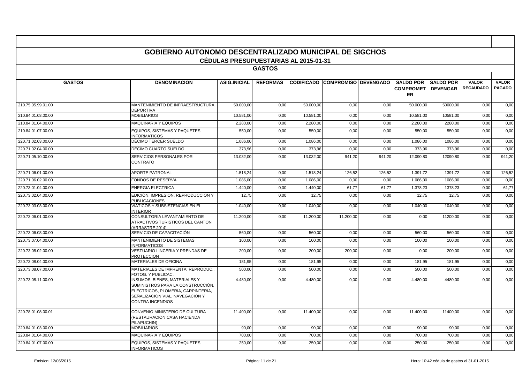|                    | <b>GOBIERNO AUTONOMO DESCENTRALIZADO MUNICIPAL DE SIGCHOS</b>                                                                                                          |                                              |                 |           |                                        |        |                                   |                            |                                  |                               |
|--------------------|------------------------------------------------------------------------------------------------------------------------------------------------------------------------|----------------------------------------------|-----------------|-----------|----------------------------------------|--------|-----------------------------------|----------------------------|----------------------------------|-------------------------------|
|                    |                                                                                                                                                                        | <b>CÉDULAS PRESUPUESTARIAS AL 2015-01-31</b> |                 |           |                                        |        |                                   |                            |                                  |                               |
|                    |                                                                                                                                                                        |                                              | <b>GASTOS</b>   |           |                                        |        |                                   |                            |                                  |                               |
| <b>GASTOS</b>      | <b>DENOMINACION</b>                                                                                                                                                    | <b>ASIG.INICIAL</b>                          | <b>REFORMAS</b> |           | <b>CODIFICADO COMPROMISO DEVENGADO</b> |        | <b>COMPROMET   DEVENGAR</b><br>ER | <b>SALDO POR SALDO POR</b> | <b>VALOR</b><br><b>RECAUDADO</b> | <b>VALOR</b><br><b>PAGADO</b> |
| 210.75.05.99.01.00 | MANTENIMIENTO DE INFRAESTRUCTURA<br><b>DEPORTIVA</b>                                                                                                                   | 50,000.00                                    | 0,00            | 50.000,00 | 0,00                                   | 0,00   | 50.000,00                         | 50000,00                   | 0,00                             | 0,00                          |
| 210.84.01.03.00.00 | <b>MOBILIARIOS</b>                                                                                                                                                     | 10.581,00                                    | 0,00            | 10.581,00 | 0,00                                   | 0,00   | 10.581,00                         | 10581,00                   | 0,00                             | 0,00                          |
| 210.84.01.04.00.00 | <b>MAQUINARIA Y EQUIPOS</b>                                                                                                                                            | 2.280,00                                     | 0,00            | 2.280,00  | 0,00                                   | 0,00   | 2.280,00                          | 2280,00                    | 0,00                             | 0,00                          |
| 210.84.01.07.00.00 | EQUIPOS. SISTEMAS Y PAQUETES<br><b>INFORMATICOS</b>                                                                                                                    | 550,00                                       | 0,00            | 550,00    | 0,00                                   | 0,00   | 550,00                            | 550,00                     | 0,00                             | 0.00                          |
| 220.71.02.03.00.00 | DÉCIMO TERCER SUELDO                                                                                                                                                   | 1.086,00                                     | 0,00            | 1.086.00  | 0,00                                   | 0,00   | 1.086,00                          | 1086.00                    | 0,00                             | 0,00                          |
| 220.71.02.04.00.00 | DÉCIMO CUARTO SUELDO                                                                                                                                                   | 373.96                                       | 0,00            | 373.96    | 0,00                                   | 0.00   | 373,96                            | 373.96                     | 0,00                             | 0.00                          |
| 220.71.05.10.00.00 | SERVICIOS PERSONALES POR<br><b>CONTRATO</b>                                                                                                                            | 13.032,00                                    | 0,00            | 13.032.00 | 941,20                                 | 941.20 | 12.090,80                         | 12090.80                   | 0,00                             | 941,20                        |
| 220.71.06.01.00.00 | <b>APORTE PATRONAL</b>                                                                                                                                                 | 1.518,24                                     | 0,00            | 1.518,24  | 126,52                                 | 126,52 | 1.391,72                          | 1391,72                    | 0,00                             | 126,52                        |
| 220.71.06.02.00.00 | <b>FONDOS DE RESERVA</b>                                                                                                                                               | 1.086,00                                     | 0,00            | 1.086,00  | 0,00                                   | 0,00   | 1.086,00                          | 1086,00                    | 0,00                             | 0,00                          |
| 220.73.01.04.00.00 | <b>ENERGIA ELECTRICA</b>                                                                                                                                               | 1.440.00                                     | 0.00            | 1.440.00  | 61.77                                  | 61.77  | 1.378.23                          | 1378.23                    | 0,00                             | 61.77                         |
| 220.73.02.04.00.00 | EDICIÓN, IMPRESION, REPRODUCCION Y<br><b>PUBLICACIONES</b>                                                                                                             | 12,75                                        | 0,00            | 12,75     | 0,00                                   | 0,00   | 12,75                             | 12,75                      | 0,00                             | 0,00                          |
| 220.73.03.03.00.00 | VIATICOS Y SUBSISTENCIAS EN EL<br><b>INTERIOR</b>                                                                                                                      | 1.040,00                                     | 0,00            | 1.040,00  | 0,00                                   | 0,00   | 1.040,00                          | 1040,00                    | 0,00                             | 0,00                          |
| 220.73.06.01.00.00 | CONSULTORIA LEVANTAMIENTO DE<br>ATRACTIVOS TURISTICOS DEL CANTON<br>ARRASTRE 2014)                                                                                     | 11.200.00                                    | 0.00            | 11.200.00 | 11.200.00                              | 0.00   | 0.00                              | 11200.00                   | 0,00                             | 0.00                          |
| 220.73.06.03.00.00 | SERVICIO DE CAPACITACIÓN                                                                                                                                               | 560.00                                       | 0.00            | 560.00    | 0,00                                   | 0,00   | 560.00                            | 560.00                     | 0,00                             | 0.00                          |
| 220.73.07.04.00.00 | MANTENIMIENTO DE SISTEMAS<br><b>INFORMATICOS</b>                                                                                                                       | 100,00                                       | 0,00            | 100,00    | 0,00                                   | 0,00   | 100,00                            | 100,00                     | 0,00                             | 0,00                          |
| 220.73.08.02.00.00 | VESTUARIO LINCERIA Y PRENDAS DE<br><b>PROTECCION</b>                                                                                                                   | 200,00                                       | 0,00            | 200,00    | 200,00                                 | 0,00   | 0,00                              | 200.00                     | 0,00                             | 0.00                          |
| 220.73.08.04.00.00 | <b>MATERIALES DE OFICINA</b>                                                                                                                                           | 181,95                                       | 0,00            | 181,95    | 0,00                                   | 0,00   | 181,95                            | 181,95                     | 0,00                             | 0,00                          |
| 220.73.08.07.00.00 | MATERIALES DE IMPRENTA. REPRODUC.<br>FOTOG. Y PUBLICAC.                                                                                                                | 500,00                                       | 0,00            | 500,00    | 0,00                                   | 0,00   | 500,00                            | 500,00                     | 0,00                             | 0.00                          |
| 220.73.08.11.00.00 | INSUMOS, BIENES, MATERIALES Y<br>SUMINISTROS PARA LA CONSTRUCCIÓN.<br>ELÉCTRICOS, PLOMERÍA, CARPINTERÍA,<br>SEÑALIZACIÓN VIAL, NAVEGACIÓN Y<br><b>CONTRA INCENDIOS</b> | 4.480,00                                     | 0,00            | 4.480,00  | 0,00                                   | 0,00   | 4.480,00                          | 4480,00                    | 0,00                             | 0,00                          |
| 220.78.01.08.00.01 | CONVENIO MINISTERIO DE CULTURA<br>(RESTAURACION CASA HACIENDA<br>PILAPUCHIN)                                                                                           | 11.400,00                                    | 0,00            | 11.400,00 | 0,00                                   | 0,00   | 11.400,00                         | 11400,00                   | 0,00                             | 0,00                          |
| 220.84.01.03.00.00 | <b>MOBILIARIOS</b>                                                                                                                                                     | 90,00                                        | 0,00            | 90,00     | 0,00                                   | 0,00   | 90,00                             | 90,00                      | 0,00                             | 0,00                          |
| 220.84.01.04.00.00 | <b>MAQUINARIA Y EQUIPOS</b>                                                                                                                                            | 700.00                                       | 0.00            | 700.00    | 0.00                                   | 0,00   | 700.00                            | 700.00                     | 0,00                             | 0.00                          |
| 220.84.01.07.00.00 | EQUIPOS, SISTEMAS Y PAQUETES<br><b>INFORMATICOS</b>                                                                                                                    | 250,00                                       | 0,00            | 250,00    | 0,00                                   | 0,00   | 250,00                            | 250,00                     | 0,00                             | 0,00                          |

ா

┑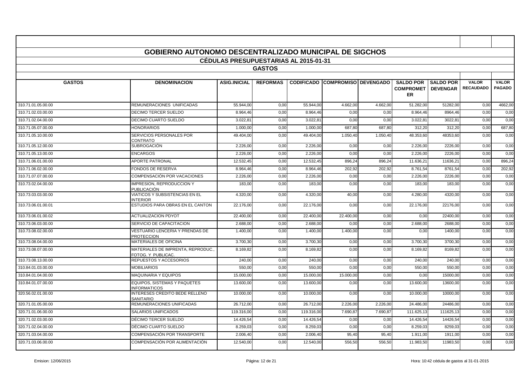|                    | <b>GOBIERNO AUTONOMO DESCENTRALIZADO MUNICIPAL DE SIGCHOS</b> | <b>CEDULAS PRESUPUESTARIAS AL 2015-01-31</b> |                 |            |                                        |          |                                                       |                  |                                  |                               |
|--------------------|---------------------------------------------------------------|----------------------------------------------|-----------------|------------|----------------------------------------|----------|-------------------------------------------------------|------------------|----------------------------------|-------------------------------|
|                    |                                                               |                                              | <b>GASTOS</b>   |            |                                        |          |                                                       |                  |                                  |                               |
|                    |                                                               |                                              |                 |            |                                        |          |                                                       |                  |                                  |                               |
| <b>GASTOS</b>      | <b>DENOMINACION</b>                                           | <b>ASIG.INICIAL</b>                          | <b>REFORMAS</b> |            | <b>CODIFICADO COMPROMISO DEVENGADO</b> |          | <b>SALDO POR</b><br><b>COMPROMET   DEVENGAR</b><br>ER | <b>SALDO POR</b> | <b>VALOR</b><br><b>RECAUDADO</b> | <b>VALOR</b><br><b>PAGADO</b> |
| 310.71.01.05.00.00 | REMUNERACIONES UNIFICADAS                                     | 55.944.00                                    | 0,00            | 55.944,00  | 4.662,00                               | 4.662.00 | 51.282,00                                             | 51282,00         | 0,00                             | 4662,00                       |
| 310.71.02.03.00.00 | DECIMO TERCER SUELDO                                          | 8.964,46                                     | 0,00            | 8.964,46   | 0,00                                   | 0,00     | 8.964,46                                              | 8964,46          | 0,00                             | 0,00                          |
| 310.71.02.04.00.00 | <b>DECIMO CUARTO SUELDO</b>                                   | 3.022.81                                     | 0,00            | 3.022.81   | 0,00                                   | 0,00     | 3.022.81                                              | 3022.8           | 0,00                             | 0,00                          |
| 310.71.05.07.00.00 | <b>HONORARIOS</b>                                             | 1.000,0                                      | 0,00            | 1.000,00   | 687,80                                 | 687,80   | 312,20                                                | 312,20           | 0,00                             | 687,80                        |
| 310.71.05.10.00.00 | SERVICIOS PERSONALES POR<br>CONTRATO                          | 49.404,00                                    | 0,00            | 49.404,00  | 1.050,40                               | 1.050,40 | 48.353,60                                             | 48353,60         | 0,00                             | 0,00                          |
| 310.71.05.12.00.00 | SUBROGACIÓN                                                   | 2.226,00                                     | 0,00            | 2.226,00   | 0,00                                   | 0,00     | 2.226,00                                              | 2226,00          | 0,00                             | 0,00                          |
| 310.71.05.13.00.00 | <b>ENCARGOS</b>                                               | 2.226.00                                     | 0,00            | 2.226.00   | 0,00                                   | 0.00     | 2.226,00                                              | 2226.00          | 0,00                             | 0.00                          |
| 310.71.06.01.00.00 | <b>APORTE PATRONAL</b>                                        | 12.532,45                                    | 0,00            | 12.532,45  | 896,24                                 | 896,24   | 11.636,2                                              | 11636,2          | 0,00                             | 896,24                        |
| 310.71.06.02.00.00 | <b>FONDOS DE RESERVA</b>                                      | 8.964,46                                     | 0,00            | 8.964.46   | 202,92                                 | 202.92   | 8.761.54                                              | 8761.54          | 0,00                             | 202,92                        |
| 310.71.07.07.00.00 | COMPENSACIÓN POR VACACIONES                                   | 2.226,00                                     | 0,00            | 2.226,00   | 0,00                                   | 0,00     | 2.226,00                                              | 2226,00          | 0,00                             | 0,00                          |
| 310.73.02.04.00.00 | <b>IMPRESION, REPRODUCCION Y</b><br>PUBLICACIÓN               | 183,00                                       | 0,00            | 183,00     | 0,00                                   | 0.00     | 183,00                                                | 183.00           | 0,00                             | 0.00                          |
| 310.73.03.03.00.00 | VIATICOS Y SUBSISTENCIAS EN EL<br><b>INTERIOR</b>             | 4.320,00                                     | 0,00            | 4.320,00   | 40,00                                  | 0,00     | 4.280,00                                              | 4320,00          | 0,00                             | 0,00                          |
| 310.73.06.01.00.01 | ESTUDIOS PARA OBRAS EN EL CANTON                              | 22.176,00                                    | 0,00            | 22.176,00  | 0,00                                   | 0,00     | 22.176,00                                             | 22176,00         | 0,00                             | 0,00                          |
| 310.73.06.01.00.02 | <b>ACTUALIZACION PDYOT</b>                                    | 22.400,00                                    | 0,00            | 22.400,00  | 22.400,00                              | 0,00     | 0,00                                                  | 22400,00         | 0,00                             | 0,00                          |
| 310.73.06.03.00.00 | SERVICIO DE CAPACITACION                                      | 2.688,00                                     | 0,00            | 2.688,00   | 0,00                                   | 0,00     | 2.688,00                                              | 2688,00          | 0,00                             | 0,00                          |
| 310.73.08.02.00.00 | VESTUARIO LENCERIA Y PRENDAS DE<br><b>PROTECCION</b>          | 1.400,00                                     | 0,00            | 1.400,00   | 1.400,00                               | 0,00     | 0,00                                                  | 1400,00          | 0,00                             | 0,00                          |
| 310.73.08.04.00.00 | <b>MATERIALES DE OFICINA</b>                                  | 3.700.30                                     | 0,00            | 3.700.30   | 0,00                                   | 0.00     | 3.700.30                                              | 3700.30          | 0,00                             | 0,00                          |
| 310.73.08.07.00.00 | MATERIALES DE IMPRENTA, REPRODUC.<br>FOTOG. Y PUBLICAC.       | 8.169,82                                     | 0,00            | 8.169,82   | 0,00                                   | 0,00     | 8.169,82                                              | 8169,82          | 0,00                             | 0.00                          |
| 310.73.08.13.00.00 | REPUESTOS Y ACCESORIOS                                        | 240,00                                       | 0,00            | 240,00     | 0,00                                   | 0,00     | 240,00                                                | 240,00           | 0,00                             | 0,00                          |
| 310.84.01.03.00.00 | <b>MOBILIARIOS</b>                                            | 550,00                                       | 0,00            | 550.00     | 0,00                                   | 0,00     | 550,00                                                | 550,00           | 0,00                             | 0,00                          |
| 310.84.01.04.00.00 | MAQUINARIA Y EQUIPOS                                          | 15.000,00                                    | 0,00            | 15.000,00  | 15.000,00                              | 0,00     | 0,00                                                  | 15000,00         | 0,00                             | 0,00                          |
| 310.84.01.07.00.00 | EQUIPOS, SISTEMAS Y PAQUETES<br><b>INFORMATICOS</b>           | 13.600,00                                    | 0,00            | 13.600,00  | 0,00                                   | 0,00     | 13.600,00                                             | 13600,00         | 0,00                             | 0,00                          |
| 320.56.02.01.00.00 | INTERESES CREDITO BEDE RELLENO<br><b>SANITARIO</b>            | 10.000,00                                    | 0,00            | 10.000,00  | 0,00                                   | 0,00     | 10.000,00                                             | 10000,00         | 0,00                             | 0,00                          |
| 320.71.01.05.00.00 | REMUNERACIONES UNIFICADAS                                     | 26.712,00                                    | 0,00            | 26.712,00  | 2.226,00                               | 2.226,00 | 24.486,00                                             | 24486,00         | 0,00                             | 0,00                          |
| 320.71.01.06.00.00 | <b>SALARIOS UNIFICADOS</b>                                    | 119.316.00                                   | 0,00            | 119.316,00 | 7.690,87                               | 7.690,87 | 111.625,13                                            | 111625.13        | 0,00                             | 0,00                          |
| 320.71.02.03.00.00 | DÉCIMO TERCER SUELDO                                          | 14.426,54                                    | 0,00            | 14.426,54  | 0,00                                   | 0,00     | 14.426,54                                             | 14426,54         | 0,00                             | 0,00                          |
| 320.71.02.04.00.00 | DÉCIMO CUARTO SUELDO                                          | 8.259,03                                     | 0,00            | 8.259,03   | 0,00                                   | 0,00     | 8.259,03                                              | 8259,03          | 0,00                             | 0,00                          |
| 320.71.03.04.00.00 | COMPENSACIÓN POR TRANSPORTE                                   | 2.006,40                                     | 0,00            | 2.006,40   | 95,40                                  | 95,40    | 1.911,00                                              | 1911,00          | 0,00                             | 0,00                          |
| 320.71.03.06.00.00 | COMPENSACIÓN POR ALIMENTACIÓN                                 | 12.540.00                                    | 0.00            | 12.540.00  | 556,50                                 | 556.50   | 11.983.50                                             | 11983.50         | 0,00                             | 0.00                          |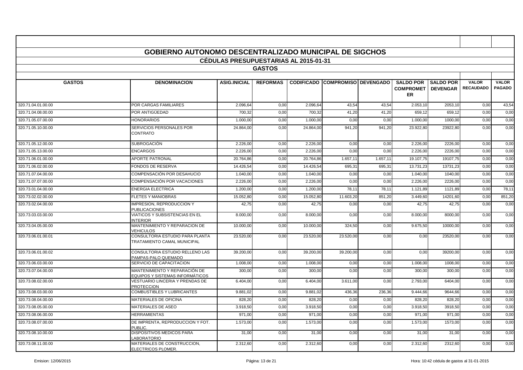|                    | <b>GOBIERNO AUTONOMO DESCENTRALIZADO MUNICIPAL DE SIGCHOS</b>    |                                              |                 |           |                                        |          |                                                        |                  |                                  |                               |
|--------------------|------------------------------------------------------------------|----------------------------------------------|-----------------|-----------|----------------------------------------|----------|--------------------------------------------------------|------------------|----------------------------------|-------------------------------|
|                    |                                                                  | <b>CEDULAS PRESUPUESTARIAS AL 2015-01-31</b> |                 |           |                                        |          |                                                        |                  |                                  |                               |
|                    |                                                                  |                                              | <b>GASTOS</b>   |           |                                        |          |                                                        |                  |                                  |                               |
|                    |                                                                  |                                              |                 |           |                                        |          |                                                        |                  |                                  |                               |
| <b>GASTOS</b>      | <b>DENOMINACION</b>                                              | <b>ASIG.INICIAL</b>                          | <b>REFORMAS</b> |           | <b>CODIFICADO COMPROMISO DEVENGADO</b> |          | <b>SALDO POR</b><br><b>COMPROMET   DEVENGAR</b><br>ER. | <b>SALDO POR</b> | <b>VALOR</b><br><b>RECAUDADO</b> | <b>VALOR</b><br><b>PAGADO</b> |
| 320.71.04.01.00.00 | POR CARGAS FAMILIARES                                            | 2.096,64                                     | 0,00            | 2.096,64  | 43,54                                  | 43,54    | 2.053,10                                               | 2053,10          | 0,00                             | 43,54                         |
| 320.71.04.08.00.00 | POR ANTIGÜEDAD                                                   | 700.32                                       | 0.00            | 700.32    | 41,20                                  | 41.20    | 659.12                                                 | 659.12           | 0,00                             | 0,00                          |
| 320.71.05.07.00.00 | <b>HONORARIOS</b>                                                | 1.000,00                                     | 0,00            | 1.000,00  | 0,00                                   | 0,00     | 1.000,00                                               | 1000,0           | 0,00                             | 0,00                          |
| 320.71.05.10.00.00 | SERVICIOS PERSONALES POR<br>CONTRATO                             | 24.864,00                                    | 0,00            | 24.864,00 | 941,20                                 | 941,20   | 23.922,80                                              | 23922,80         | 0,00                             | 0,00                          |
| 320.71.05.12.00.00 | SUBROGACIÓN                                                      | 2.226,00                                     | 0,00            | 2.226,00  | 0,00                                   | 0,00     | 2.226,00                                               | 2226,00          | 0,00                             | 0,00                          |
| 320.71.05.13.00.00 | <b>ENCARGOS</b>                                                  | 2.226,00                                     | 0,00            | 2.226,00  | 0,00                                   | 0,00     | 2.226,00                                               | 2226,00          | 0,00                             | 0,00                          |
| 320.71.06.01.00.00 | <b>APORTE PATRONAL</b>                                           | 20.764.86                                    | 0,00            | 20.764,86 | 1.657,11                               | 1.657,1' | 19.107,75                                              | 19107.75         | 0,00                             | 0,00                          |
| 320.71.06.02.00.00 | <b>FONDOS DE RESERVA</b>                                         | 14.426,54                                    | 0,00            | 14.426,54 | 695,3                                  | 695,3'   | 13.731,23                                              | 13731,23         | 0,00                             | 0,00                          |
| 320.71.07.04.00.00 | COMPENSACIÓN POR DESAHUCIO                                       | 1.040,00                                     | 0,00            | 1.040,00  | 0,00                                   | 0,00     | 1.040,00                                               | 1040,00          | 0,00                             | 0,00                          |
| 320.71.07.07.00.00 | COMPENSACIÓN POR VACACIONES                                      | 2.226.00                                     | 0,00            | 2.226.00  | 0,00                                   | 0,00     | 2.226.00                                               | 2226.00          | 0,00                             | 0,00                          |
| 320.73.01.04.00.00 | <b>ENERGIA ELECTRICA</b>                                         | 1.200.00                                     | 0,00            | 1.200.00  | 78,11                                  | 78,1'    | 1.121,89                                               | 1121.89          | 0,00                             | 78,11                         |
| 320.73.02.02.00.00 | <b>FLETES Y MANIOBRAS</b>                                        | 15.052,80                                    | 0,00            | 15.052,80 | 11.603,20                              | 851,20   | 3.449,60                                               | 14201,60         | 0,00                             | 851,20                        |
| 320.73.02.04.00.00 | IMPRESION, REPRODUCCION Y<br><b>PUBLICACIONES</b>                | 42,75                                        | 0,00            | 42,75     | 0,00                                   | 0,00     | 42,75                                                  | 42,75            | 0,00                             | 0,00                          |
| 320.73.03.03.00.00 | VIATICOS Y SUBSISTENCIAS EN EL<br><b>NTERIOR</b>                 | 8.000,00                                     | 0,00            | 8.000,00  | 0,00                                   | 0,00     | 8.000,00                                               | 8000,00          | 0,00                             | 0,00                          |
| 320.73.04.05.00.00 | MANTENIMIENTO Y REPARACION DE<br>VEHICULOS                       | 10.000,00                                    | 0,00            | 10.000,00 | 324.50                                 | 0,00     | 9.675,50                                               | 10000.00         | 0,00                             | 0,00                          |
| 320.73.06.01.00.01 | CONSULTORIA ESTUDIO PARA PLANTA<br>TRATAMIENTO CAMAL MUNICIPAL   | 23.520.00                                    | 0.00            | 23.520,00 | 23.520.00                              | 0,00     | 0,00                                                   | 23520,00         | 0,00                             | 0,00                          |
| 320.73.06.01.00.02 | CONSULTORIA ESTUDIO RELLENO LAS<br>PAMPAS-PALO QUEMADO           | 39.200,00                                    | 0,00            | 39.200,00 | 39.200,00                              | 0,00     | 0,00                                                   | 39200,00         | 0,00                             | 0,00                          |
| 320.73.06.03.00.00 | SERVICIO DE CAPACITACION                                         | 1.008,00                                     | 0,00            | 1.008,00  | 0,00                                   | 0,00     | 1.008,00                                               | 1008,00          | 0,00                             | 0,00                          |
| 320.73.07.04.00.00 | MANTENIMIENTO Y REPARACIÓN DE<br>EQUIPOS Y SISTEMAS INFORMÁTICOS | 300,00                                       | 0,00            | 300,00    | 0,00                                   | 0,00     | 300,00                                                 | 300,00           | 0,00                             | 0,00                          |
| 320.73.08.02.00.00 | VESTUARIO LINCERIA Y PRENDAS DE<br><b>PROTECCION</b>             | 6.404,00                                     | 0,00            | 6.404,00  | 3.611,00                               | 0,00     | 2.793,00                                               | 6404.00          | 0,00                             | 0,00                          |
| 320.73.08.03.00.00 | <b>COMBUSTIBLES Y LUBRICANTES</b>                                | 9.881,0                                      | 0,00            | 9.881,02  | 436,36                                 | 236,36   | 9.444,66                                               | 9644,66          | 0,00                             | 0,00                          |
| 320.73.08.04.00.00 | MATERIALES DE OFICINA                                            | 828,20                                       | 0,00            | 828,20    | 0,00                                   | 0,00     | 828,20                                                 | 828,20           | 0,00                             | 0,00                          |
| 320.73.08.05.00.00 | MATERIALES DE ASEO                                               | 3.918,50                                     | 0,00            | 3.918,50  | 0,00                                   | 0,00     | 3.918,50                                               | 3918,50          | 0,00                             | 0,00                          |
| 320.73.08.06.00.00 | <b>HERRAMIENTAS</b>                                              | 971,00                                       | 0,00            | 971,00    | 0,00                                   | 0,00     | 971,00                                                 | 971,00           | 0,00                             | 0,00                          |
| 320.73.08.07.00.00 | DE IMPRENTA, REPRODUCCION Y FOT.<br>PUBLIC.                      | 1.573,00                                     | 0,00            | 1.573,00  | 0,00                                   | 0,00     | 1.573,00                                               | 1573.00          | 0,00                             | 0,00                          |
| 320.73.08.10.00.00 | <b>DISPOSITIVOS MEDICOS PARA</b><br>LABORATORIO                  | 31,00                                        | 0,00            | 31,00     | 0,00                                   | 0,00     | 31,00                                                  | 31,00            | 0,00                             | 0,00                          |
| 320.73.08.11.00.00 | MATERIALES DE CONSTRUCCION,<br>ELECTRICOS PLOMER.                | 2.312,60                                     | 0,00            | 2.312,60  | 0,00                                   | 0,00     | 2.312,60                                               | 2312,60          | 0,00                             | 0,00                          |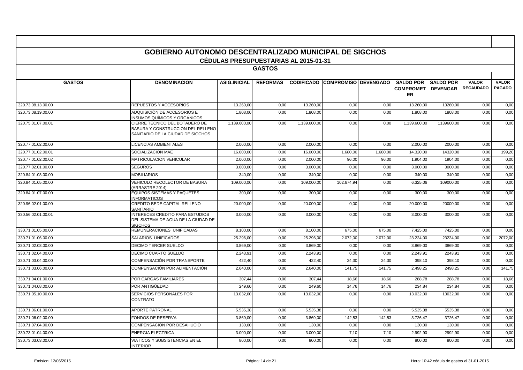|                    | <b>GOBIERNO AUTONOMO DESCENTRALIZADO MUNICIPAL DE SIGCHOS</b>                                            |                                              |                 |              |                                        |          |                                                        |                  |                                  |                               |
|--------------------|----------------------------------------------------------------------------------------------------------|----------------------------------------------|-----------------|--------------|----------------------------------------|----------|--------------------------------------------------------|------------------|----------------------------------|-------------------------------|
|                    |                                                                                                          | <b>CEDULAS PRESUPUESTARIAS AL 2015-01-31</b> |                 |              |                                        |          |                                                        |                  |                                  |                               |
|                    |                                                                                                          |                                              | <b>GASTOS</b>   |              |                                        |          |                                                        |                  |                                  |                               |
|                    |                                                                                                          |                                              |                 |              |                                        |          |                                                        |                  |                                  |                               |
| <b>GASTOS</b>      | <b>DENOMINACION</b>                                                                                      | <b>ASIG.INICIAL</b>                          | <b>REFORMAS</b> |              | <b>CODIFICADO COMPROMISO DEVENGADO</b> |          | <b>SALDO POR</b><br><b>COMPROMET   DEVENGAR</b><br>ER. | <b>SALDO POR</b> | <b>VALOR</b><br><b>RECAUDADO</b> | <b>VALOR</b><br><b>PAGADO</b> |
| 320.73.08.13.00.00 | REPUESTOS Y ACCESORIOS                                                                                   | 13.260,00                                    | 0,00            | 13.260,00    | 0,00                                   | 0,00     | 13.260,00                                              | 13260,00         | 0,00                             | 0,00                          |
| 320.73.08.19.00.00 | ADQUISICIÓN DE ACCESORIOS E<br>NSUMOS QUÍMICOS Y ORGÁNICOS                                               | 1.808,00                                     | 0,00            | 1.808,00     | 0,00                                   | 0,00     | 1.808,00                                               | 1808,00          | 0,00                             | 0,00                          |
| 320.75.01.07.00.01 | CIERRE TECNICO DEL BOTADERO DE<br>BASURA Y CONSTRUCCION DEL RELLENO<br>SANITARIO DE LA CIUDAD DE SIGCHOS | 1.139.600.00                                 | 0.00            | 1.139.600.00 | 0,00                                   | 0.00     | 1.139.600.00                                           | 1139600.00       | 0,00                             | 0,00                          |
| 320.77.01.02.00.00 | <b>LICENCIAS AMBIENTALES</b>                                                                             | 2.000.00                                     | 0.00            | 2.000.00     | 0.00                                   | 0.00     | 2.000.00                                               | 2000.00          | 0.00                             | 0,00                          |
| 320.77.01.02.00.01 | SOCIALIZACION MAE                                                                                        | 16.000,00                                    | 0,00            | 16.000,00    | 1.680,00                               | 1.680,00 | 14.320,00                                              | 14320,00         | 0,00                             | 199,20                        |
| 320.77.01.02.00.02 | <b>MATRICULACION VEHICULAR</b>                                                                           | 2.000,00                                     | 0,00            | 2.000,00     | 96,00                                  | 96,00    | 1.904,00                                               | 1904,00          | 0,00                             | 0,00                          |
| 320.77.02.01.00.00 | <b>SEGUROS</b>                                                                                           | 3.000,00                                     | 0,00            | 3.000,00     | 0,00                                   | 0,00     | 3.000,00                                               | 3000,00          | 0,00                             | 0,00                          |
| 320.84.01.03.00.00 | <b>MOBILIARIOS</b>                                                                                       | 340,00                                       | 0,00            | 340,00       | 0,00                                   | 0,00     | 340,00                                                 | 340,00           | 0,00                             | 0,00                          |
| 320.84.01.05.00.00 | VEHICULO RECOLECTOR DE BASURA<br>ARRASTRE 2014)                                                          | 109.000,00                                   | 0,00            | 109.000,00   | 102.674,94                             | 0,00     | 6.325,06                                               | 109000,00        | 0,00                             | 0,00                          |
| 320.84.01.07.00.00 | <b>EQUIPOS SISTEMAS Y PAQUETES</b><br><b>INFORMATICOS</b>                                                | 300,00                                       | 0,00            | 300,00       | 0,00                                   | 0,00     | 300,00                                                 | 300,00           | 0,00                             | 0,00                          |
| 320.96.02.01.00.00 | CREDITO BEDE CAPITAL RELLENO<br>SANITARIO                                                                | 20.000,00                                    | 0,00            | 20.000,00    | 0,00                                   | 0,00     | 20.000,00                                              | 20000,00         | 0,00                             | 0,00                          |
| 330.56.02.01.00.01 | <b>INTERECES CREDITO PARA ESTUDIOS</b><br>DEL SISTEMA DE AGUA DE LA CIUDAD DE<br><b>SIGCHOS</b>          | 3.000.00                                     | 0.00            | 3.000,00     | 0,00                                   | 0,00     | 3.000,00                                               | 3000,00          | 0,00                             | 0,00                          |
| 330.71.01.05.00.00 | REMUNERACIONES UNIFICADAS                                                                                | 8.100,00                                     | 0,00            | 8.100,00     | 675,00                                 | 675,00   | 7.425,00                                               | 7425,00          | 0,00                             | 0,00                          |
| 330.71.01.06.00.00 | SALARIOS UNIFICADOS                                                                                      | 25.296.00                                    | 0,00            | 25.296,00    | 2.072,00                               | 2.072,00 | 23.224,00                                              | 23224,00         | 0,00                             | 2072,00                       |
| 330.71.02.03.00.00 | <b>DECIMO TERCER SUELDO</b>                                                                              | 3.869.00                                     | 0,00            | 3.869.00     | 0,00                                   | 0,00     | 3.869,00                                               | 3869.00          | 0,00                             | 0,00                          |
| 330.71.02.04.00.00 | DECIMO CUARTO SUELDO                                                                                     | 2.243,91                                     | 0,00            | 2.243,91     | 0,00                                   | 0,00     | 2.243,91                                               | 2243,9           | 0,00                             | 0,00                          |
| 330.71.03.04.00.00 | COMPENSACIÓN POR TRANSPORTE                                                                              | 422,40                                       | 0,00            | 422.40       | 24,30                                  | 24,30    | 398,10                                                 | 398,10           | 0,00                             | 0,00                          |
| 330.71.03.06.00.00 | COMPENSACIÓN POR ALIMENTACIÓN                                                                            | 2.640,00                                     | 0,00            | 2.640,00     | 141,75                                 | 141,75   | 2.498,25                                               | 2498,25          | 0,00                             | 141,75                        |
| 330.71.04.01.00.00 | POR CARGAS FAMILIARES                                                                                    | 307,44                                       | 0,00            | 307,44       | 18,66                                  | 18,66    | 288,78                                                 | 288,78           | 0,00                             | 18,66                         |
| 330.71.04.08.00.00 | POR ANTIGÜEDAD                                                                                           | 249,60                                       | 0,00            | 249,60       | 14,76                                  | 14,76    | 234,84                                                 | 234,84           | 0,00                             | 0,00                          |
| 330.71.05.10.00.00 | SERVICIOS PERSONALES POR<br>CONTRATO                                                                     | 13.032,00                                    | 0,00            | 13.032,00    | 0,00                                   | 0,00     | 13.032,00                                              | 13032,00         | 0,00                             | 0,00                          |
| 330.71.06.01.00.00 | <b>APORTE PATRONAL</b>                                                                                   | 5.535.38                                     | 0.00            | 5.535.38     | 0,00                                   | 0,00     | 5.535.38                                               | 5535.38          | 0,00                             | 0,00                          |
| 330.71.06.02.00.00 | FONDOS DE RESERVA                                                                                        | 3.869,00                                     | 0.00            | 3.869,00     | 142,53                                 | 142,53   | 3.726,47                                               | 3726,47          | 0,00                             | 0,00                          |
| 330.71.07.04.00.00 | COMPENSACIÓN POR DESAHUCIO                                                                               | 130.00                                       | 0,00            | 130,00       | 0,00                                   | 0,00     | 130,00                                                 | 130,00           | 0,00                             | 0,00                          |
| 330.73.01.04.00.00 | <b>ENERGIA ELECTRICA</b>                                                                                 | 3.000,00                                     | 0,00            | 3.000,00     | 7,10                                   | 7,10     | 2.992,90                                               | 2992,90          | 0,00                             | 0,00                          |
| 330.73.03.03.00.00 | VIATICOS Y SUBSISTENCIAS EN EL<br><b>INTERIOR</b>                                                        | 800,00                                       | 0,00            | 800,00       | 0,00                                   | 0,00     | 800,00                                                 | 800,00           | 0,00                             | 0,00                          |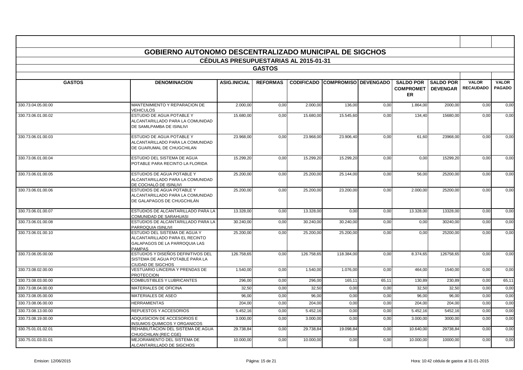|                    | <b>GOBIERNO AUTONOMO DESCENTRALIZADO MUNICIPAL DE SIGCHOS</b>                                                            |                                       |                 |            |                                        |       |                                      |                                     |                                  |                               |
|--------------------|--------------------------------------------------------------------------------------------------------------------------|---------------------------------------|-----------------|------------|----------------------------------------|-------|--------------------------------------|-------------------------------------|----------------------------------|-------------------------------|
|                    |                                                                                                                          | CÉDULAS PRESUPUESTARIAS AL 2015-01-31 |                 |            |                                        |       |                                      |                                     |                                  |                               |
|                    |                                                                                                                          |                                       | <b>GASTOS</b>   |            |                                        |       |                                      |                                     |                                  |                               |
| <b>GASTOS</b>      | <b>DENOMINACION</b>                                                                                                      | <b>ASIG.INICIAL</b>                   | <b>REFORMAS</b> |            | <b>CODIFICADO COMPROMISO DEVENGADO</b> |       | <b>SALDO POR</b><br><b>COMPROMET</b> | <b>SALDO POR</b><br><b>DEVENGAR</b> | <b>VALOR</b><br><b>RECAUDADO</b> | <b>VALOR</b><br><b>PAGADO</b> |
|                    |                                                                                                                          |                                       |                 |            |                                        |       | <b>ER</b>                            |                                     |                                  |                               |
| 330.73.04.05.00.00 | MANTENIMIENTO Y REPARACION DE<br><b>VEHICULOS</b>                                                                        | 2.000,00                              | 0,00            | 2.000.00   | 136,00                                 | 0,00  | 1.864,00                             | 2000,00                             | 0,00                             | 0,00                          |
| 330.73.06.01.00.02 | ESTUDIO DE AGUA POTABLE Y<br>ALCANTARILLADO PARA LA COMUNIDAD<br>DE SAMILPAMBA DE ISINLIVI                               | 15.680,00                             | 0,00            | 15.680,00  | 15.545,60                              | 0,00  | 134,40                               | 15680,00                            | 0,00                             | 0,00                          |
| 330.73.06.01.00.03 | ESTUDIO DE AGUA POTABLE Y<br>ALCANTARILLADO PARA LA COMUNIDAD<br>DE GUARUMAL DE CHUGCHILAN                               | 23.968.00                             | 0.00            | 23.968.00  | 23.906,40                              | 0,00  | 61,60                                | 23968.00                            | 0,00                             | 0,00                          |
| 330.73.06.01.00.04 | ESTUDIO DEL SISTEMA DE AGUA<br>POTABLE PARA RECINTO LA FLORIDA                                                           | 15.299,20                             | 0,00            | 15.299,20  | 15.299,20                              | 0,00  | 0,00                                 | 15299,20                            | 0,00                             | 0,00                          |
| 330.73.06.01.00.05 | <b>ESTUDIOS DE AGUA POTABLE Y</b><br>ALCANTARILLADO PARA LA COMUNIDAD<br>DE COCHALÓ DE ISINLIVI                          | 25,200.00                             | 0.00            | 25.200.00  | 25.144.00                              | 0,00  | 56,00                                | 25200.00                            | 0,00                             | 0,00                          |
| 330.73.06.01.00.06 | <b>ESTUDIOS DE AGUA POTABLE Y</b><br>ALCANTARILLADO PARA LA COMUNIDAD<br>DE GALAPAGOS DE CHUGCHILÁN                      | 25.200,00                             | 0,00            | 25.200,00  | 23.200,00                              | 0,00  | 2.000,00                             | 25200,00                            | 0,00                             | 0,00                          |
| 330.73.06.01.00.07 | ESTUDIOS DE ALCANTARILLADO PARA LA<br>COMUNIDAD DE SARAHUASI                                                             | 13.328,00                             | 0,00            | 13.328,00  | 0,00                                   | 0,00  | 13.328,00                            | 13328,00                            | 0,00                             | 0,00                          |
| 330.73.06.01.00.08 | ESTUDIOS DE ALCANTARILLADO PARA LA<br>PARROQUIA ISINLIVI                                                                 | 30.240,00                             | 0.00            | 30.240.00  | 30.240,00                              | 0,00  | 0,00                                 | 30240,00                            | 0,00                             | 0,00                          |
| 330.73.06.01.00.10 | ESTUDIO DEL SISTEMA DE AGUA Y<br>ALCANTARILLADO PARA EL RECINTO<br><b>GALAPAGOS DE LA PARROQUIA LAS</b><br><b>PAMPAS</b> | 25.200,00                             | 0,00            | 25.200,00  | 25.200,00                              | 0,00  | 0,00                                 | 25200,00                            | 0,00                             | 0,00                          |
| 330.73.06.05.00.00 | ESTUDIOS Y DISEÑOS DEFINITIVOS DEL<br>SISTEMA DE AGUA POTABLE PARA LA<br>CIUDAD DE SIGCHOS                               | 126.758,65                            | 0,00            | 126.758,65 | 118.384,00                             | 0,00  | 8.374,65                             | 126758,65                           | 0,00                             | 0,00                          |
| 330.73.08.02.00.00 | VESTUARIO LINCERIA Y PRENDAS DE<br><b>PROTECCION</b>                                                                     | 1.540,00                              | 0,00            | 1.540,00   | 1.076,00                               | 0,00  | 464,00                               | 1540,00                             | 0,00                             | 0,00                          |
| 330.73.08.03.00.00 | <b>COMBUSTIBLES Y LUBRICANTES</b>                                                                                        | 296,00                                | 0,00            | 296,00     | 165,11                                 | 65,1' | 130,89                               | 230,89                              | 0,00                             | 65,11                         |
| 330.73.08.04.00.00 | <b>MATERIALES DE OFICINA</b>                                                                                             | 32,50                                 | 0,00            | 32,50      | 0,00                                   | 0,00  | 32,50                                | 32,50                               | 0,00                             | 0,00                          |
| 330.73.08.05.00.00 | <b>MATERIALES DE ASEO</b>                                                                                                | 96,00                                 | 0,00            | 96,00      | 0,00                                   | 0,00  | 96,00                                | 96,00                               | 0,00                             | 0,00                          |
| 330.73.08.06.00.00 | <b>HERRAMIENTAS</b>                                                                                                      | 204,00                                | 0,00            | 204,00     | 0,00                                   | 0,00  | 204,00                               | 204,00                              | 0,00                             | 0,00                          |
| 330.73.08.13.00.00 | REPUESTOS Y ACCESORIOS                                                                                                   | 5.452,16                              | 0,00            | 5.452,16   | 0,00                                   | 0,00  | 5.452,16                             | 5452,16                             | 0,00                             | 0,00                          |
| 330.73.08.19.00.00 | ADQUISICION DE ACCESORIOS E<br><b>INSUMOS QUIMICOS Y ORGANICOS</b>                                                       | 3.000,00                              | 0,00            | 3.000,00   | 0,00                                   | 0,00  | 3.000,00                             | 3000,00                             | 0,00                             | 0,00                          |
| 330.75.01.01.02.01 | REHABILITACION DEL SISTEMA DE AGUA<br>CHUGCHILAN (REC CGE)                                                               | 29.738,84                             | 0,00            | 29.738,84  | 19.098,84                              | 0,00  | 10.640,00                            | 29738,84                            | 0,00                             | 0,00                          |
| 330.75.01.03.01.01 | MEJORAMIENTO DEL SISTEMA DE<br>ALCANTARILLADO DE SIGCHOS                                                                 | 10.000,00                             | 0,00            | 10.000,00  | 0,00                                   | 0,00  | 10.000,00                            | 10000,00                            | 0,00                             | 0,00                          |

**T** 

 $\overline{\phantom{a}}$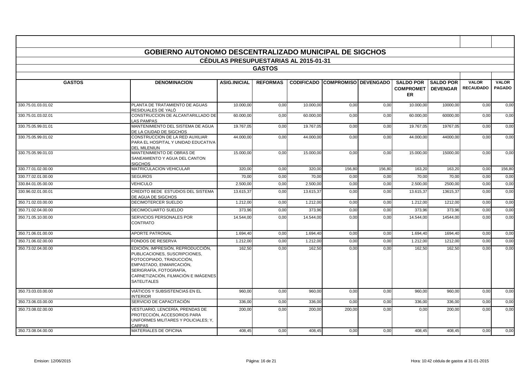|                    | <b>GOBIERNO AUTONOMO DESCENTRALIZADO MUNICIPAL DE SIGCHOS</b>                                                                                                                                                     |                                              |                 |           |                                        |        |                                                        |                  |                                  |                               |
|--------------------|-------------------------------------------------------------------------------------------------------------------------------------------------------------------------------------------------------------------|----------------------------------------------|-----------------|-----------|----------------------------------------|--------|--------------------------------------------------------|------------------|----------------------------------|-------------------------------|
|                    |                                                                                                                                                                                                                   | <b>CÉDULAS PRESUPUESTARIAS AL 2015-01-31</b> |                 |           |                                        |        |                                                        |                  |                                  |                               |
|                    |                                                                                                                                                                                                                   |                                              | <b>GASTOS</b>   |           |                                        |        |                                                        |                  |                                  |                               |
|                    |                                                                                                                                                                                                                   |                                              |                 |           |                                        |        |                                                        |                  |                                  |                               |
| <b>GASTOS</b>      | <b>DENOMINACION</b>                                                                                                                                                                                               | <b>ASIG.INICIAL</b>                          | <b>REFORMAS</b> |           | <b>CODIFICADO COMPROMISO DEVENGADO</b> |        | <b>SALDO POR</b><br><b>COMPROMET   DEVENGAR</b><br>ER. | <b>SALDO POR</b> | <b>VALOR</b><br><b>RECAUDADO</b> | <b>VALOR</b><br><b>PAGADO</b> |
| 330.75.01.03.01.02 | PLANTA DE TRATAMIENTO DE AGUAS<br>RESIDUALES DE YALÓ                                                                                                                                                              | 10.000,00                                    | 0,00            | 10.000,00 | 0,00                                   | 0,00   | 10.000,00                                              | 10000,00         | 0,00                             | 0,00                          |
| 330.75.01.03.02.01 | CONSTRUCCION DE ALCANTARILLADO DE<br><b>LAS PAMPAS</b>                                                                                                                                                            | 60.000,00                                    | 0,00            | 60.000,00 | 0,00                                   | 0,00   | 60.000,00                                              | 60000,00         | 0,00                             | 0,00                          |
| 330.75.05.99.01.01 | MANTENIMIENTO DEL SISTEMA DE AGUA<br>DE LA CIUDAD DE SIGCHOS                                                                                                                                                      | 19.767,05                                    | 0,00            | 19.767,05 | 0,00                                   | 0,00   | 19.767,05                                              | 19767,05         | 0,00                             | 0,00                          |
| 330.75.05.99.01.02 | CONSTRUCCION DE LA RED AUXILIAR<br>PARA EL HOSPITAL Y UNIDAD EDUCATIVA<br><b>DEL MILENIUN</b>                                                                                                                     | 44.000.00                                    | 0.00            | 44.000.00 | 0,00                                   | 0,00   | 44.000.00                                              | 44000.00         | 0,00                             | 0,00                          |
| 330.75.05.99.01.03 | MANTENIMIENTO DE OBRAS DE<br>SANEAMIENTO Y AGUA DEL CANTON<br><b>SIGCHOS</b>                                                                                                                                      | 15.000,00                                    | 0,00            | 15.000,00 | 0,00                                   | 0,00   | 15.000,00                                              | 15000,00         | 0,00                             | 0,00                          |
| 330.77.01.02.00.00 | MATRICULACION VEHICULAR                                                                                                                                                                                           | 320,00                                       | 0,00            | 320,00    | 156,80                                 | 156,80 | 163,20                                                 | 163,20           | 0,00                             | 156,80                        |
| 330.77.02.01.00.00 | <b>SEGUROS</b>                                                                                                                                                                                                    | 70,00                                        | 0,00            | 70,00     | 0,00                                   | 0,00   | 70,00                                                  | 70,00            | 0,00                             | 0,00                          |
| 330.84.01.05.00.00 | <b>VEHICULO</b>                                                                                                                                                                                                   | 2.500,00                                     | 0,00            | 2.500,00  | 0,00                                   | 0,00   | 2.500,00                                               | 2500,00          | 0,00                             | 0,00                          |
| 330.96.02.01.00.01 | CREDITO BEDE ESTUDIOS DEL SISTEMA<br>DE AGUA DE SIGCHOS                                                                                                                                                           | 13.615,37                                    | 0,00            | 13.615,37 | 0,00                                   | 0,00   | 13.615,37                                              | 13615,37         | 0,00                             | 0,00                          |
| 350.71.02.03.00.00 | DECIMOTERCER SUELDO                                                                                                                                                                                               | 1.212,00                                     | 0,00            | 1.212,00  | 0,00                                   | 0,00   | 1.212,00                                               | 1212,00          | 0,00                             | 0,00                          |
| 350.71.02.04.00.00 | <b>DECIMOCUARTO SUELDO</b>                                                                                                                                                                                        | 373,96                                       | 0,00            | 373,96    | 0,00                                   | 0,00   | 373,96                                                 | 373,96           | 0,00                             | 0,00                          |
| 350.71.05.10.00.00 | SERVICIOS PERSONALES POR<br>CONTRATO                                                                                                                                                                              | 14.544,00                                    | 0.00            | 14.544,00 | 0,00                                   | 0,00   | 14.544,00                                              | 14544,00         | 0,00                             | 0,00                          |
| 350.71.06.01.00.00 | <b>APORTE PATRONAL</b>                                                                                                                                                                                            | 1.694.40                                     | 0,00            | 1.694,40  | 0,00                                   | 0,00   | 1.694,40                                               | 1694.40          | 0,00                             | 0,00                          |
| 350.71.06.02.00.00 | FONDOS DE RESERVA                                                                                                                                                                                                 | 1.212,00                                     | 0,00            | 1.212,00  | 0,00                                   | 0,00   | 1.212,00                                               | 1212,00          | 0,00                             | 0,00                          |
| 350.73.02.04.00.00 | EDICIÓN, IMPRESIÓN, REPRODUCCIÓN,<br>PUBLICACIONES, SUSCRIPCIONES.<br>FOTOCOPIADO, TRADUCCIÓN,<br>EMPASTADO, ENMARCACIÓN.<br>SERIGRAFÍA, FOTOGRAFÍA,<br>CARNETIZACIÓN, FILMACIÓN E IMÁGENES<br><b>SATELITALES</b> | 162,50                                       | 0,00            | 162,50    | 0,00                                   | 0,00   | 162,50                                                 | 162,50           | 0,00                             | 0,00                          |
| 350.73.03.03.00.00 | VIÁTICOS Y SUBSISTENCIAS EN EL<br><b>NTERIOR</b>                                                                                                                                                                  | 960,00                                       | 0,00            | 960,00    | 0,00                                   | 0,00   | 960,00                                                 | 960.00           | 0,00                             | 0,00                          |
| 350.73.06.03.00.00 | SERVICIO DE CAPACITACIÓN                                                                                                                                                                                          | 336,00                                       | 0,00            | 336,00    | 0,00                                   | 0,00   | 336,00                                                 | 336,00           | 0,00                             | 0,00                          |
| 350.73.08.02.00.00 | VESTUARIO, LENCERÍA, PRENDAS DE<br>PROTECCIÓN, ACCESORIOS PARA<br>UNIFORMES MILITARES Y POLICIALES; Y,<br>CARPAS                                                                                                  | 200,00                                       | 0.00            | 200,00    | 200,00                                 | 0,00   | 0.00                                                   | 200,00           | 0,00                             | 0,00                          |
| 350.73.08.04.00.00 | MATERIALES DE OFICINA                                                                                                                                                                                             | 408,45                                       | 0,00            | 408,45    | 0,00                                   | 0,00   | 408,45                                                 | 408.45           | 0,00                             | 0,00                          |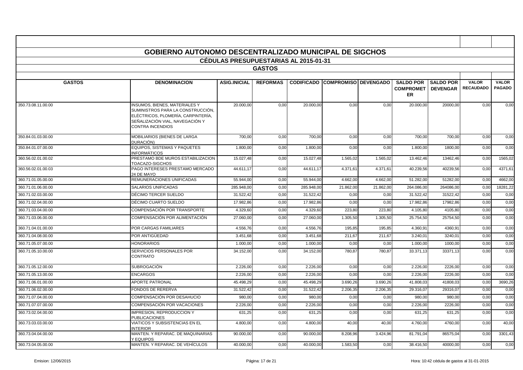|                    | <b>GOBIERNO AUTONOMO DESCENTRALIZADO MUNICIPAL DE SIGCHOS</b>                                                                                                          |                                       |                 |            |                                        |           |                                                   |                                     |                                  |                               |
|--------------------|------------------------------------------------------------------------------------------------------------------------------------------------------------------------|---------------------------------------|-----------------|------------|----------------------------------------|-----------|---------------------------------------------------|-------------------------------------|----------------------------------|-------------------------------|
|                    |                                                                                                                                                                        | CÉDULAS PRESUPUESTARIAS AL 2015-01-31 |                 |            |                                        |           |                                                   |                                     |                                  |                               |
|                    |                                                                                                                                                                        |                                       | <b>GASTOS</b>   |            |                                        |           |                                                   |                                     |                                  |                               |
|                    |                                                                                                                                                                        |                                       |                 |            |                                        |           |                                                   |                                     |                                  |                               |
| <b>GASTOS</b>      | <b>DENOMINACION</b>                                                                                                                                                    | <b>ASIG.INICIAL</b>                   | <b>REFORMAS</b> |            | <b>CODIFICADO COMPROMISO DEVENGADO</b> |           | <b>SALDO POR</b><br><b>COMPROMET</b><br><b>ER</b> | <b>SALDO POR</b><br><b>DEVENGAR</b> | <b>VALOR</b><br><b>RECAUDADO</b> | <b>VALOR</b><br><b>PAGADO</b> |
| 350.73.08.11.00.00 | INSUMOS, BIENES, MATERIALES Y<br>SUMINISTROS PARA LA CONSTRUCCIÓN,<br>ELÉCTRICOS, PLOMERÍA, CARPINTERÍA,<br>SEÑALIZACIÓN VIAL. NAVEGACIÓN Y<br><b>CONTRA INCENDIOS</b> | 20.000,00                             | 0,00            | 20.000,00  | 0,00                                   | 0,00      | 20.000,00                                         | 20000,00                            | 0,00                             | 0,00                          |
| 350.84.01.03.00.00 | MOBILIARIOS (BIENES DE LARGA<br>DURACIÓN)                                                                                                                              | 700,00                                | 0,00            | 700,00     | 0,00                                   | 0,00      | 700,00                                            | 700,00                              | 0,00                             | 0,00                          |
| 350.84.01.07.00.00 | <b>EQUIPOS, SISTEMAS Y PAQUETES</b><br>INFORMÁTICOS                                                                                                                    | 1.800,00                              | 0,00            | 1.800,00   | 0,00                                   | 0,00      | $\overline{1.800,00}$                             | 1800,00                             | 0,00                             | 0,00                          |
| 360.56.02.01.00.02 | PRESTAMO BDE MUROS ESTABILIZACION<br>TOACAZO-SIGCHOS                                                                                                                   | 15.027,48                             | 0,00            | 15.027,48  | 1.565,02                               | 1.565,02  | 13.462,46                                         | 13462,46                            | 0,00                             | 1565,02                       |
| 360.56.02.01.00.03 | PAGO INTERESES PRESTAMO MERCADO<br>24 DE MAYO                                                                                                                          | 44.611,17                             | 0.00            | 44.611.17  | 4.371,61                               | 4.371,61  | 40.239,56                                         | 40239,56                            | 0,00                             | 4371.61                       |
| 360.71.01.05.00.00 | REMUNERACIONES UNIFICADAS                                                                                                                                              | 55.944,00                             | 0,00            | 55.944,00  | 4.662,00                               | 4.662,00  | 51.282,00                                         | 51282,00                            | 0,00                             | 4662,00                       |
| 360.71.01.06.00.00 | <b>SALARIOS UNIFICADAS</b>                                                                                                                                             | 285.948,00                            | 0,00            | 285.948,00 | 21.862,00                              | 21.862,00 | 264.086,00                                        | 264086,00                           | 0,00                             | 18281,22                      |
| 360.71.02.03.00.00 | DÉCIMO TERCER SUELDO                                                                                                                                                   | 31.522,42                             | 0,00            | 31.522,42  | 0,00                                   | 0,00      | 31.522,42                                         | 31522,42                            | 0,00                             | 0,00                          |
| 360.71.02.04.00.00 | DÉCIMO CUARTO SUELDO                                                                                                                                                   | 17.982,86                             | 0,00            | 17.982,86  | 0,00                                   | 0,00      | 17.982,86                                         | 17982,86                            | 0,00                             | 0,00                          |
| 360.71.03.04.00.00 | COMPENSACIÓN POR TRANSPORTE                                                                                                                                            | 4.329,60                              | 0,00            | 4.329,60   | 223,80                                 | 223,80    | 4.105,80                                          | 4105,80                             | 0,00                             | 0,00                          |
| 360.71.03.06.00.00 | COMPENSACIÓN POR ALIMENTACIÓN                                                                                                                                          | 27.060,00                             | 0,00            | 27.060,00  | 1.305,50                               | 1.305,50  | 25.754,50                                         | 25754,50                            | 0,00                             | 0,00                          |
| 360.71.04.01.00.00 | POR CARGAS FAMILIARES                                                                                                                                                  | 4.556,76                              | 0,00            | 4.556,76   | 195,85                                 | 195,85    | 4.360,9                                           | 4360,9                              | 0,00                             | 0,00                          |
| 360.71.04.08.00.00 | POR ANTIGÜEDAD                                                                                                                                                         | 3.451.68                              | 0,00            | 3.451.68   | 211,67                                 | 211,67    | 3.240,01                                          | 3240.01                             | 0,00                             | 0,00                          |
| 360.71.05.07.00.00 | <b>HONORARIOS</b>                                                                                                                                                      | 1.000,00                              | 0,00            | 1.000,00   | 0,00                                   | 0,00      | 1.000,00                                          | 1000,00                             | 0,00                             | 0,00                          |
| 360.71.05.10.00.00 | SERVICIOS PERSONALES POR<br>CONTRATO                                                                                                                                   | 34.152,00                             | 0,00            | 34.152,00  | 780,87                                 | 780,87    | 33.371,13                                         | 33371,13                            | 0,00                             | 0,00                          |
| 360.71.05.12.00.00 | SUBROGACIÓN                                                                                                                                                            | 2.226,00                              | 0,00            | 2.226,00   | 0,00                                   | 0,00      | 2.226,00                                          | 2226,00                             | 0,00                             | 0,00                          |
| 360.71.05.13.00.00 | <b>ENCARGOS</b>                                                                                                                                                        | 2.226,00                              | 0,00            | 2.226,00   | 0,00                                   | 0,00      | 2.226,00                                          | 2226,00                             | 0,00                             | 0,00                          |
| 360.71.06.01.00.00 | <b>APORTE PATRONAL</b>                                                                                                                                                 | 45.498.29                             | 0,00            | 45.498.29  | 3.690,26                               | 3.690,26  | 41.808,03                                         | 41808.03                            | 0,00                             | 3690,26                       |
| 360.71.06.02.00.00 | FONDOS DE RERERVA                                                                                                                                                      | 31.522,42                             | 0,00            | 31.522,42  | 2.206,35                               | 2.206,35  | 29.316,07                                         | 29316,07                            | 0,00                             | 0,00                          |
| 360.71.07.04.00.00 | COMPENSACIÓN POR DESAHUCIO                                                                                                                                             | 980,0                                 | 0,00            | 980,00     | 0,00                                   | 0,00      | 980,0                                             | 980,00                              | 0,00                             | 0,00                          |
| 360.71.07.07.00.00 | COMPENSACIÓN POR VACACIONES                                                                                                                                            | 2.226,00                              | 0,00            | 2.226,00   | 0,00                                   | 0,00      | 2.226,00                                          | 2226,00                             | 0,00                             | 0,00                          |
| 360.73.02.04.00.00 | <b>IMPRESION, REPRODUCCION Y</b><br><b>PUBLICACIONES</b>                                                                                                               | 631,25                                | 0,00            | 631,25     | 0,00                                   | 0,00      | 631,25                                            | 631,25                              | 0,00                             | 0,00                          |
| 360.73.03.03.00.00 | VIATICOS Y SUBSISTENCIAS EN EL<br><b>INTERIOR</b>                                                                                                                      | 4.800,00                              | 0,00            | 4.800,00   | 40,00                                  | 40,00     | 4.760,00                                          | 4760,00                             | 0,00                             | 40,00                         |
| 360.73.04.04.00.00 | MANTEN, Y REPARAC, DE MAQUINARIAS<br>Y EQUIPOS                                                                                                                         | 90.000,00                             | 0,00            | 90.000,00  | 8.208,96                               | 3.424,96  | 81.791.04                                         | 86575,04                            | 0,00                             | 3301,43                       |
| 360.73.04.05.00.00 | MANTEN. Y REPARAC. DE VEHÍCULOS                                                                                                                                        | 40.000,00                             | 0,00            | 40.000,00  | 1.583,50                               | 0,00      | 38.416,50                                         | 40000,00                            | 0,00                             | 0,00                          |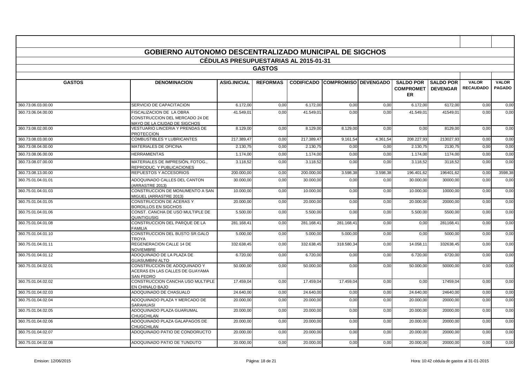|                    | <b>GOBIERNO AUTONOMO DESCENTRALIZADO MUNICIPAL DE SIGCHOS</b>                              | <b>CÉDULAS PRESUPUESTARIAS AL 2015-01-31</b> |                 |            |                                 |          |                                                       |                  |                                  |                               |
|--------------------|--------------------------------------------------------------------------------------------|----------------------------------------------|-----------------|------------|---------------------------------|----------|-------------------------------------------------------|------------------|----------------------------------|-------------------------------|
|                    |                                                                                            |                                              | <b>GASTOS</b>   |            |                                 |          |                                                       |                  |                                  |                               |
|                    |                                                                                            |                                              |                 |            |                                 |          |                                                       |                  |                                  |                               |
| <b>GASTOS</b>      | <b>DENOMINACION</b>                                                                        | <b>ASIG.INICIAL</b>                          | <b>REFORMAS</b> |            | CODIFICADO COMPROMISO DEVENGADO |          | <b>SALDO POR</b><br><b>COMPROMET   DEVENGAR</b><br>ER | <b>SALDO POR</b> | <b>VALOR</b><br><b>RECAUDADO</b> | <b>VALOR</b><br><b>PAGADO</b> |
| 360.73.06.03.00.00 | SERVICIO DE CAPACITACION                                                                   | 6.172,00                                     | 0,00            | 6.172,00   | 0,00                            | 0,00     | 6.172,00                                              | 6172,00          | 0,00                             | 0,00                          |
| 360.73.06.04.00.00 | FISCALIZACION DE LA OBRA<br>CONSTRUCCION DEL MERCADO 24 DE<br>MAYO DE LA CIUDAD DE SIGCHOS | 41.549,01                                    | 0.00            | 41.549,01  | 0,00                            | 0,00     | 41.549,01                                             | 41549,01         | 0,00                             | 0,00                          |
| 360.73.08.02.00.00 | VESTUARIO LINCERIA Y PRENDAS DE<br><b>PROTECCION</b>                                       | 8.129,00                                     | 0,00            | 8.129,00   | 8.129,00                        | 0,00     | 0,00                                                  | 8129,00          | 0,00                             | 0,00                          |
| 360.73.08.03.00.00 | <b>COMBUSTIBLES Y LUBRICANTES</b>                                                          | 217.389.47                                   | 0.00            | 217.389.47 | 9.161.54                        | 4.361.54 | 208.227.93                                            | 213027.93        | 0,00                             | 0,00                          |
| 360.73.08.04.00.00 | MATERIALES DE OFICINA                                                                      | 2.130.75                                     | 0.00            | 2.130,75   | 0,00                            | 0,00     | 2.130,75                                              | 2130.75          | 0.00                             | 0,00                          |
| 360.73.08.06.00.00 | <b>HERRAMIENTAS</b>                                                                        | 1.174,00                                     | 0,00            | 1.174,00   | 0,00                            | 0,00     | 1.174,00                                              | 1174,00          | 0,00                             | 0,00                          |
| 360.73.08.07.00.00 | MATERIALES DE IMPRESIÓN. FOTOG<br>REPRODUC. Y PUBLICACIONES                                | 3.118.52                                     | 0.00            | 3.118,52   | 0,00                            | 0.00     | 3.118.52                                              | 3118,52          | 0,00                             | 0.00                          |
| 360.73.08.13.00.00 | REPUESTOS Y ACCESORIOS                                                                     | 200.000,00                                   | 0,00            | 200.000,00 | 3.598,38                        | 3.598.38 | 196.401,62                                            | 196401.62        | 0,00                             | 3598,38                       |
| 360.75.01.04.01.01 | ADOQUINADO CALLES DEL CANTON<br>(ARRASTRE 2013)                                            | 30.000,00                                    | 0,00            | 30.000,00  | 0,00                            | 0,00     | 30.000,00                                             | 30000,00         | 0,00                             | 0,00                          |
| 360.75.01.04.01.03 | CONSTRUCCION DE MONUMENTO A SAN<br>MIGUEL (ARRASTRE 2013)                                  | 10.000.00                                    | 0.00            | 10.000.00  | 0,00                            | 0.00     | 10.000.00                                             | 10000.00         | 0.00                             | 0.00                          |
| 360.75.01.04.01.05 | CONSTRUCCION DE ACERAS Y<br><b>BORDILLOS EN SIGCHOS</b>                                    | 20.000,00                                    | 0,00            | 20.000,00  | 0,00                            | 0,00     | 20.000,00                                             | 20000,00         | 0,00                             | 0,00                          |
| 360.75.01.04.01.06 | CONST. CANCHA DE USO MULTIPLE DE<br>QUINTIGUSIG                                            | 5.500,00                                     | 0,00            | 5.500,00   | 0,00                            | 0,00     | 5.500,00                                              | 5500,00          | 0,00                             | 0,00                          |
| 360.75.01.04.01.08 | CONSTRUCCION DEL PARQUE DE LA<br><b>FAMILIA</b>                                            | 281.168,41                                   | 0,00            | 281.168,41 | 281.168,41                      | 0,00     | 0,00                                                  | 281168,41        | 0,00                             | 0,00                          |
| 360.75.01.04.01.10 | CONSTRUCCION DEL BUSTO SR.GALO<br><b>TROYA</b>                                             | 5.000,00                                     | 0,00            | 5.000,00   | 5.000,00                        | 0,00     | 0,00                                                  | 5000,00          | 0,00                             | 0,00                          |
| 360.75.01.04.01.11 | REGENERACION CALLE 14 DE<br><b>NOVIEMBRE</b>                                               | 332.638,45                                   | 0,00            | 332.638,45 | 318.580,34                      | 0,00     | 14.058,11                                             | 332638,45        | 0,00                             | 0,00                          |
| 360.75.01.04.01.12 | ADOQUINADO DE LA PLAZA DE<br><b>GUASUMBINI ALTO</b>                                        | 6.720.00                                     | 0,00            | 6.720,00   | 0,00                            | 0,00     | 6.720,00                                              | 6720.00          | 0,00                             | 0.00                          |
| 360.75.01.04.02.01 | CONSTRUCCION DE ADOQUINADO Y<br>ACERAS EN LAS CALLES DE GUAYAMA<br>SAN PEDRO               | 50.000.00                                    | 0.00            | 50.000,00  | 0,00                            | 0.00     | 50.000,00                                             | 50000.00         | 0.00                             | 0.00                          |
| 360.75.01.04.02.02 | CONSTRUCCION CANCHA USO MULTIPLE<br>EN CHINALO BAJO                                        | 17.459,04                                    | 0,00            | 17.459,04  | 17.459,04                       | 0,00     | 0,00                                                  | 17459,04         | 0,00                             | 0,00                          |
| 360.75.01.04.02.03 | ADOQUINADO DE CHASUALO                                                                     | 24.640.00                                    | 0,00            | 24.640.00  | 0,00                            | 0,00     | 24.640,00                                             | 24640.00         | 0,00                             | 0,00                          |
| 360.75.01.04.02.04 | ADOQUINADO PLAZA Y MERCADO DE<br><b>SARAHUASI</b>                                          | 20.000,00                                    | 0,00            | 20.000,00  | 0,00                            | 0,00     | 20.000,00                                             | 20000,00         | 0,00                             | 0,00                          |
| 360.75.01.04.02.05 | ADOQUINADO PLAZA GUARUMAL<br><b>CHUGCHILAN</b>                                             | 20.000,00                                    | 0,00            | 20.000,00  | 0,00                            | 0,00     | 20.000,00                                             | 20000,00         | 0,00                             | 0,00                          |
| 360.75.01.04.02.06 | ADOQUINADO PLAZA GALAPAGOS DE<br>CHUGCHILAN                                                | 20,000.00                                    | 0.00            | 20,000,00  | 0,00                            | 0,00     | 20.000,00                                             | 20000.00         | 0,00                             | 0.00                          |
| 360.75.01.04.02.07 | ADOQUINADO PATIO DE CONDORUCTO                                                             | 20.000,00                                    | 0,00            | 20.000,00  | 0,00                            | 0,00     | 20.000,00                                             | 20000,00         | 0,00                             | 0,00                          |
| 360.75.01.04.02.08 | ADOQUINADO PATIO DE TUNDUTO                                                                | 20.000,00                                    | 0,00            | 20.000,00  | 0,00                            | 0,00     | 20.000,00                                             | 20000,00         | 0,00                             | 0,00                          |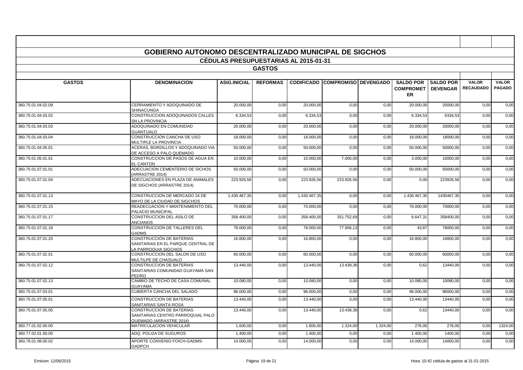|                    | <b>GOBIERNO AUTONOMO DESCENTRALIZADO MUNICIPAL DE SIGCHOS</b>                            |                                              |                 |              |                                        |          |                                                 |                  |                                  |                               |
|--------------------|------------------------------------------------------------------------------------------|----------------------------------------------|-----------------|--------------|----------------------------------------|----------|-------------------------------------------------|------------------|----------------------------------|-------------------------------|
|                    |                                                                                          | <b>CEDULAS PRESUPUESTARIAS AL 2015-01-31</b> |                 |              |                                        |          |                                                 |                  |                                  |                               |
|                    |                                                                                          |                                              | <b>GASTOS</b>   |              |                                        |          |                                                 |                  |                                  |                               |
| <b>GASTOS</b>      | <b>DENOMINACION</b>                                                                      | <b>ASIG.INICIAL</b>                          | <b>REFORMAS</b> |              | <b>CODIFICADO COMPROMISO DEVENGADO</b> |          | <b>SALDO POR</b><br><b>COMPROMET   DEVENGAR</b> | <b>SALDO POR</b> | <b>VALOR</b><br><b>RECAUDADO</b> | <b>VALOR</b><br><b>PAGADO</b> |
|                    |                                                                                          |                                              |                 |              |                                        |          | ER                                              |                  |                                  |                               |
| 360.75.01.04.02.09 | CERRAMIENTO Y ADOQUINADO DE<br><b>SHINACUNGA</b>                                         | 20.000.00                                    | 0,00            | 20.000.00    | 0,00                                   | 0,00     | 20.000,00                                       | 20000.00         | 0,00                             | 0.00                          |
| 360.75.01.04.03.02 | CONSTRUCCION ADOQUINADOS CALLES<br><b>SN LA PROVINCIA</b>                                | 6.334,53                                     | 0,00            | 6.334,53     | 0,00                                   | 0,00     | 6.334,53                                        | 6334,53          | 0,00                             | 0,00                          |
| 360.75.01.04.03.03 | ADOQUINADO EN COMUNIDAD<br><b>GUANTUALO</b>                                              | 20.000,00                                    | 0,00            | 20.000,00    | 0,00                                   | 0,00     | 20.000,00                                       | 20000,00         | 0,00                             | 0,00                          |
| 360.75.01.04.03.04 | CONSTRUCCION CANCHA DE USO<br>MULTIPLE LA PROVINCIA                                      | 18,000.00                                    | 0,00            | 18.000,00    | 0,00                                   | 0,00     | 18.000,00                                       | 18000.00         | 0,00                             | 0,00                          |
| 360.75.01.04.05.01 | ACERAS, BORDILLOS Y ADOQUINADO VIA<br>DE ACCESO A PALO QUEMADO                           | 50.000,00                                    | 0,00            | 50.000,00    | 0,00                                   | 0,00     | 50.000,00                                       | 50000,00         | 0,00                             | 0,00                          |
| 360.75.01.05.01.01 | CONSTRUCCION DE PASOS DE AGUA EN<br><b>EL CANTON</b>                                     | 10.000,00                                    | 0,00            | 10.000,00    | 7.000,00                               | 0,00     | 3.000,00                                        | 10000,00         | 0,00                             | 0,00                          |
| 360.75.01.07.01.01 | ADECUACION CEMENTERIO DE SICHOS<br>(ARRASTRE 2014)                                       | 50.000,00                                    | 0,00            | 50.000,00    | 0,00                                   | 0,00     | 50.000,00                                       | 50000,00         | 0,00                             | 0,00                          |
| 360.75.01.07.01.04 | ADECUACIONES EN PLAZA DE ANIMALES<br>DE SIGCHOS (ARRASTRE 2014)                          | 223.926,56                                   | 0,00            | 223.926.56   | 223.926,56                             | 0,00     | 0,00                                            | 223926.56        | 0,00                             | 0,00                          |
| 360.75.01.07.01.13 | CONSTRUCCION DE MERCADO 24 DE<br>MAYO DE LA CIUDAD DE SIGCHOS                            | 1.430.467,35                                 | 0,00            | 1.430.467,35 | 0,00                                   | 0,00     | 1.430.467,35                                    | 1430467,35       | 0,00                             | 0,00                          |
| 360.75.01.07.01.15 | READECUACION Y MANTENIMIENTO DEL<br>PALACIO MUNICIPAL                                    | 70.000,00                                    | 0,00            | 70.000,00    | 0,00                                   | 0,00     | 70.000,00                                       | 70000,00         | 0,00                             | 0,00                          |
| 360.75.01.07.01.17 | CONSTRUCCION DEL ASILO DE<br><b>ANCIANOS</b>                                             | 358.400,00                                   | 0,00            | 358.400,00   | 351.752,69                             | 0,00     | 6.647,31                                        | 358400,00        | 0,00                             | 0,00                          |
| 360.75.01.07.01.18 | CONSTRUCCION DE TALLERES DEL<br><b>GADMS</b>                                             | 78.000,00                                    | 0,00            | 78.000,00    | 77.956,13                              | 0,00     | 43,87                                           | 78000,00         | 0,00                             | 0,00                          |
| 360.75.01.07.01.20 | CONSTRUCCIÓN DE BATERIAS<br>SANITARIAS EN EL PARQUE CENTRAL DE<br>LA PARROQUIA SIGCHOS   | 16.800,00                                    | 0,00            | 16.800,00    | 0,00                                   | 0,00     | 16.800,00                                       | 16800,00         | 0,00                             | 0.00                          |
| 360.75.01.07.02.01 | CONSTRUCCION DEL SALON DE USO<br>MULTILPE DE CHASUALO                                    | 60.000,00                                    | 0,00            | 60.000,00    | 0,00                                   | 0,00     | 60.000,00                                       | 60000,00         | 0,00                             | 0,00                          |
| 360.75.01.07.02.12 | CONSTRUCCION DE BATERIAS<br>SANITARIAS COMUNIDAD GUAYAMA SAN<br>PEDRO                    | 13.440,00                                    | 0,00            | 13.440,00    | 13.439,38                              | 0,00     | 0,62                                            | 13440,00         | 0,00                             | 0,00                          |
| 360.75.01.07.02.13 | CAMBIO DE TECHO DE CASA COMUNAL<br><b>GUAYAMA</b>                                        | 10.080,00                                    | 0,00            | 10.080,00    | 0,00                                   | 0,00     | 10.080,00                                       | 10080,00         | 0,00                             | 0,00                          |
| 360.75.01.07.03.01 | CUBIERTA CANCHA DEL SALADO                                                               | 96.000,00                                    | 0,00            | 96.000,00    | 0,00                                   | 0,00     | 96.000,00                                       | 96000,00         | 0,00                             | 0,00                          |
| 360.75.01.07.05.01 | <b>CONSTRUCCION DE BATERIAS</b><br>SANITARIAS SANTA ROSA                                 | 13.440,00                                    | 0,00            | 13.440,00    | 0,00                                   | 0,00     | 13.440,00                                       | 13440.00         | 0,00                             | 0.00                          |
| 360.75.01.07.05.05 | CONSTRUCCION DE BATERIAS<br>SANITARIAS CENTRO PARROQUIAL PALO<br>QUEMADO (ARRASTRE 2014) | 13.440,00                                    | 0,00            | 13.440,00    | 13.439,38                              | 0,00     | 0,62                                            | 13440,00         | 0,00                             | 0,00                          |
| 360.77.01.02.00.00 | MATRICULACION VEHICULAR                                                                  | 1.600,00                                     | 0,00            | 1.600,00     | 1.324,00                               | 1.324,00 | 276,00                                          | 276,00           | 0,00                             | 1324,00                       |
| 360.77.02.01.00.00 | ADQ. POLIZA DE SUGUROS                                                                   | 1.400,00                                     | 0,00            | 1.400.00     | 0,00                                   | 0,00     | 1.400,00                                        | 1400,00          | 0,00                             | 0,00                          |
| 360.78.01.08.00.02 | APORTE CONVENIO FOICH-GADMS-<br><b>GADPCH</b>                                            | 14.000,00                                    | 0,00            | 14.000,00    | 0,00                                   | 0,00     | 14.000.00                                       | 14000,00         | 0,00                             | 0,00                          |

 $\blacksquare$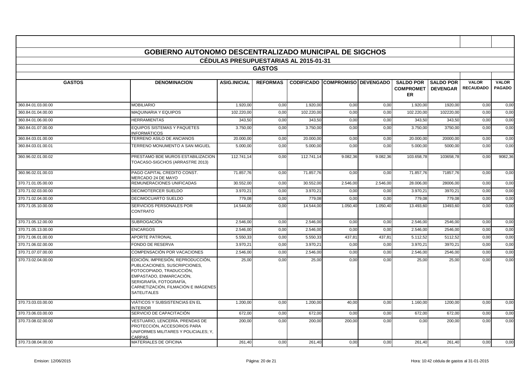|                    | <b>GOBIERNO AUTONOMO DESCENTRALIZADO MUNICIPAL DE SIGCHOS</b>                                                                                                                                                     |                                              |                 |            |                                        |          |                                                                         |           |                                  |                               |
|--------------------|-------------------------------------------------------------------------------------------------------------------------------------------------------------------------------------------------------------------|----------------------------------------------|-----------------|------------|----------------------------------------|----------|-------------------------------------------------------------------------|-----------|----------------------------------|-------------------------------|
|                    |                                                                                                                                                                                                                   | <b>CÉDULAS PRESUPUESTARIAS AL 2015-01-31</b> | <b>GASTOS</b>   |            |                                        |          |                                                                         |           |                                  |                               |
|                    |                                                                                                                                                                                                                   |                                              |                 |            |                                        |          |                                                                         |           |                                  |                               |
| <b>GASTOS</b>      | <b>DENOMINACION</b>                                                                                                                                                                                               | <b>ASIG.INICIAL</b>                          | <b>REFORMAS</b> |            | <b>CODIFICADO COMPROMISO DEVENGADO</b> |          | <b>SALDO POR ISALDO POR</b><br><b>COMPROMET   DEVENGAR</b><br><b>ER</b> |           | <b>VALOR</b><br><b>RECAUDADO</b> | <b>VALOR</b><br><b>PAGADO</b> |
| 360.84.01.03.00.00 | <b>MOBILIARIO</b>                                                                                                                                                                                                 | 1.920.00                                     | 0,00            | 1.920.00   | 0,00                                   | 0,00     | 1.920.00                                                                | 1920.00   | 0,00                             | 0,00                          |
| 360.84.01.04.00.00 | <b>MAQUINARIA Y EQUIPOS</b>                                                                                                                                                                                       | 102.220.00                                   | 0,00            | 102.220.00 | 0,00                                   | 0,00     | 102.220.00                                                              | 102220.00 | 0,00                             | 0.00                          |
| 360.84.01.06.00.00 | <b>HERRAMIENTAS</b>                                                                                                                                                                                               | 343,50                                       | 0,00            | 343,50     | 0,00                                   | 0,00     | 343,50                                                                  | 343,50    | 0,00                             | 0,00                          |
| 360.84.01.07.00.00 | <b>EQUIPOS SISTEMAS Y PAQUETES</b><br><b>INFORMÁTICOS</b>                                                                                                                                                         | 3.750,00                                     | 0,00            | 3.750,00   | 0,00                                   | 0,00     | 3.750,00                                                                | 3750,00   | 0,00                             | 0,00                          |
| 360.84.03.01.00.00 | TERRENO ASILO DE ANCIANOS                                                                                                                                                                                         | 20.000.00                                    | 0,00            | 20.000,00  | 0,00                                   | 0,00     | 20.000,00                                                               | 20000,00  | 0,00                             | 0,00                          |
| 360.84.03.01.00.01 | TERRENO MONUMENTO A SAN MIGUEL                                                                                                                                                                                    | 5.000,00                                     | 0,00            | 5.000,00   | 0,00                                   | 0,00     | 5.000,00                                                                | 5000,00   | 0,00                             | 0.00                          |
| 360.96.02.01.00.02 | PRESTAMO BDE MUROS ESTABILIZACION<br>TOACASO-SIGCHOS (ARRASTRE 2013)                                                                                                                                              | 112.741,14                                   | 0,00            | 112.741,14 | 9.082,36                               | 9.082,36 | 103.658,78                                                              | 103658,78 | 0,00                             | 9082,36                       |
| 360.96.02.01.00.03 | PAGO CAPITAL CREDITO CONST.<br>MERCADO 24 DE MAYO                                                                                                                                                                 | 71.857,76                                    | 0,00            | 71.857,76  | 0,00                                   | 0,00     | 71.857,76                                                               | 71857,76  | 0,00                             | 0,00                          |
| 370.71.01.05.00.00 | REMUNERACIONES UNIFICADAS                                                                                                                                                                                         | 30.552,00                                    | 0,00            | 30.552,00  | 2.546,00                               | 2.546,00 | 28.006,00                                                               | 28006,00  | 0,00                             | 0,00                          |
| 370.71.02.03.00.00 | <b>DECIMOTERCER SUELDO</b>                                                                                                                                                                                        | 3.970,2'                                     | 0,00            | 3.970.21   | 0,00                                   | 0,00     | 3.970,21                                                                | 3970,21   | 0,00                             | 0,00                          |
| 370.71.02.04.00.00 | DECIMOCUARTO SUELDO                                                                                                                                                                                               | 779,08                                       | 0,00            | 779,08     | 0,00                                   | 0,00     | 779,08                                                                  | 779,08    | 0,00                             | 0,00                          |
| 370.71.05.10.00.00 | SERVICIOS PERSONALES POR<br><b>CONTRATO</b>                                                                                                                                                                       | 14.544.00                                    | 0,00            | 14.544.00  | 1.050,40                               | 1.050,40 | 13.493,60                                                               | 13493.60  | 0,00                             | 0.00                          |
| 370.71.05.12.00.00 | <b>SUBROGACIÓN</b>                                                                                                                                                                                                | 2.546,00                                     | 0,00            | 2.546,00   | 0,00                                   | 0,00     | 2.546,00                                                                | 2546,00   | 0,00                             | 0,00                          |
| 370.71.05.13.00.00 | <b>ENCARGOS</b>                                                                                                                                                                                                   | 2.546,00                                     | 0,00            | 2.546,00   | 0,00                                   | 0,00     | 2.546,00                                                                | 2546,00   | 0,00                             | 0,00                          |
| 370.71.06.01.00.00 | <b>APORTE PATRONAL</b>                                                                                                                                                                                            | 5.550,33                                     | 0,00            | 5.550,33   | 437,81                                 | 437,81   | 5.112.52                                                                | 5112.52   | 0,00                             | 0,00                          |
| 370.71.06.02.00.00 | <b>FONDO DE RESERVA</b>                                                                                                                                                                                           | 3.970,2'                                     | 0,00            | 3.970,21   | 0,00                                   | 0,00     | 3.970,21                                                                | 3970.21   | 0,00                             | 0,00                          |
| 370.71.07.07.00.00 | COMPENSACIÓN POR VACACIONES                                                                                                                                                                                       | 2.546,00                                     | 0,00            | 2.546,00   | 0,00                                   | 0,00     | 2.546,00                                                                | 2546,00   | 0,00                             | 0,00                          |
| 370.73.02.04.00.00 | EDICIÓN, IMPRESIÓN, REPRODUCCIÓN,<br>PUBLICACIONES, SUSCRIPCIONES,<br>FOTOCOPIADO, TRADUCCIÓN,<br>EMPASTADO, ENMARCACIÓN,<br>SERIGRAFÍA, FOTOGRAFÍA,<br>CARNETIZACIÓN, FILMACIÓN E IMÁGENES<br><b>SATELITALES</b> | 25,00                                        | 0.00            | 25,00      | 0,00                                   | 0.00     | 25,00                                                                   | 25.00     | 0,00                             | 0.00                          |
| 370.73.03.03.00.00 | VIÁTICOS Y SUBSISTENCIAS EN EL<br><b>INTERIOR</b>                                                                                                                                                                 | 1.200,00                                     | 0,00            | 1.200,00   | 40,00                                  | 0,00     | 1.160,00                                                                | 1200,00   | 0,00                             | 0,00                          |
| 370.73.06.03.00.00 | SERVICIO DE CAPACITACIÓN                                                                                                                                                                                          | 672,00                                       | 0,00            | 672.00     | 0,00                                   | 0,00     | 672,00                                                                  | 672,00    | 0,00                             | 0,00                          |
| 370.73.08.02.00.00 | VESTUARIO, LENCERÍA, PRENDAS DE<br>PROTECCIÓN, ACCESORIOS PARA<br>UNIFORMES MILITARES Y POLICIALES: Y.<br>CARPAS                                                                                                  | 200,00                                       | 0,00            | 200,00     | 200,00                                 | 0,00     | 0,00                                                                    | 200,00    | 0,00                             | 0,00                          |
| 370.73.08.04.00.00 | MATERIALES DE OFICINA                                                                                                                                                                                             | 261,40                                       | 0,00            | 261,40     | 0,00                                   | 0,00     | 261,40                                                                  | 261,40    | 0,00                             | 0,00                          |